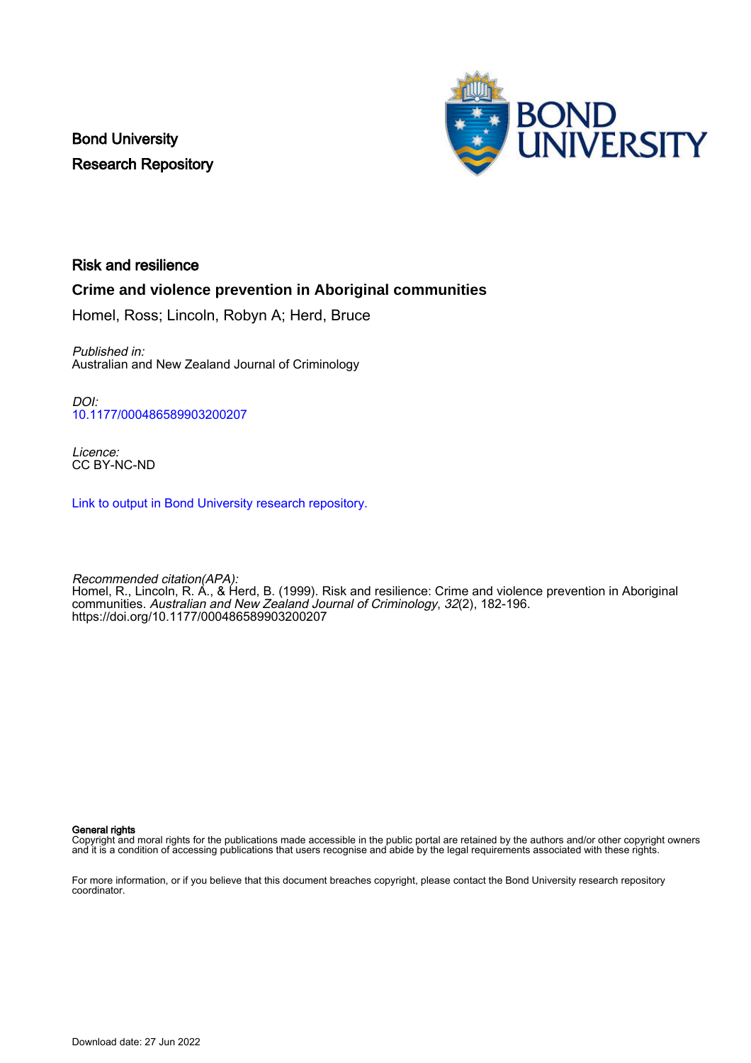Bond University Research Repository



## Risk and resilience

## **Crime and violence prevention in Aboriginal communities**

Homel, Ross; Lincoln, Robyn A; Herd, Bruce

Published in: Australian and New Zealand Journal of Criminology

DOI: [10.1177/000486589903200207](https://doi.org/10.1177/000486589903200207)

Licence: CC BY-NC-ND

[Link to output in Bond University research repository.](https://research.bond.edu.au/en/publications/6de5499d-b8b2-4a01-8044-f234ec1ebec6)

Recommended citation(APA): Homel, R., Lincoln, R. A., & Herd, B. (1999). Risk and resilience: Crime and violence prevention in Aboriginal communities. Australian and New Zealand Journal of Criminology, 32(2), 182-196. <https://doi.org/10.1177/000486589903200207>

#### General rights

Copyright and moral rights for the publications made accessible in the public portal are retained by the authors and/or other copyright owners and it is a condition of accessing publications that users recognise and abide by the legal requirements associated with these rights.

For more information, or if you believe that this document breaches copyright, please contact the Bond University research repository coordinator.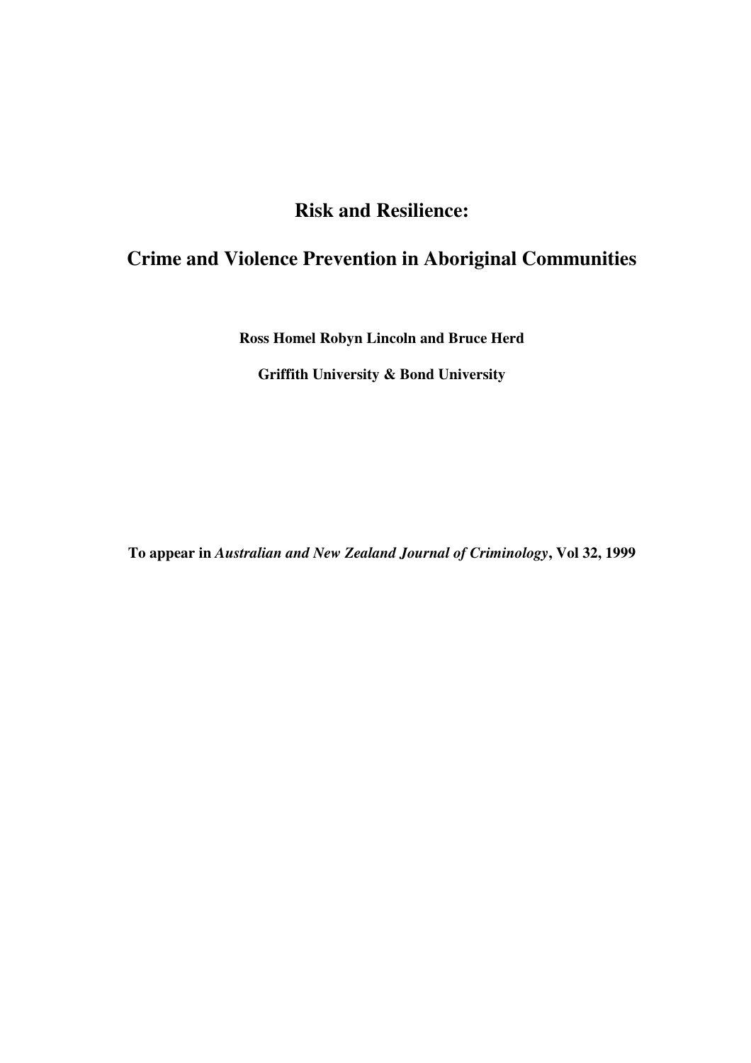# **Risk and Resilience:**

## **Crime and Violence Prevention in Aboriginal Communities**

**Ross Homel Robyn Lincoln and Bruce Herd**

**Griffith University & Bond University**

**To appear in** *Australian and New Zealand Journal of Criminology***, Vol 32, 1999**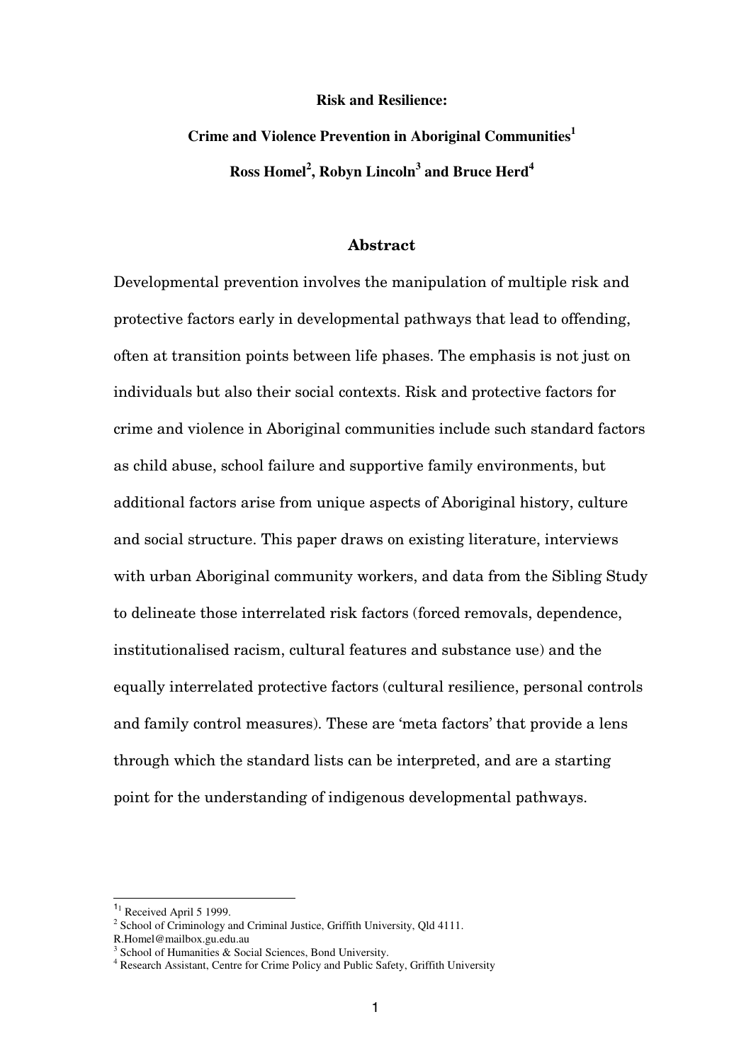## **Risk and Resilience:**

**Crime and Violence Prevention in Aboriginal Communities 1 Ross Homel 2 , Robyn Lincoln<sup>3</sup> and Bruce Herd<sup>4</sup>**

## **Abstract**

Developmental prevention involves the manipulation of multiple risk and protective factors early in developmental pathways that lead to offending, often at transition points between life phases. The emphasis is not just on individuals but also their social contexts. Risk and protective factors for crime and violence in Aboriginal communities include such standard factors as child abuse, school failure and supportive family environments, but additional factors arise from unique aspects of Aboriginal history, culture and social structure. This paper draws on existing literature, interviews with urban Aboriginal community workers, and data from the Sibling Study to delineate those interrelated risk factors (forced removals, dependence, institutionalised racism, cultural features and substance use) and the equally interrelated protective factors (cultural resilience, personal controls and family control measures). These are 'meta factors' that provide a lens through which the standard lists can be interpreted, and are a starting point for the understanding of indigenous developmental pathways.

<sup>&</sup>lt;sup>11</sup> Received April 5 1999.<br><sup>2</sup> School of Criminology and Criminal Justice, Griffith University, Old 4111.

R.Homel@mailbox.gu.edu.au<br><sup>3</sup> School of Humanities & Social Sciences, Bond University.<br><sup>4</sup> Research Assistant, Centre for Crime Policy and Public Safety, Griffith University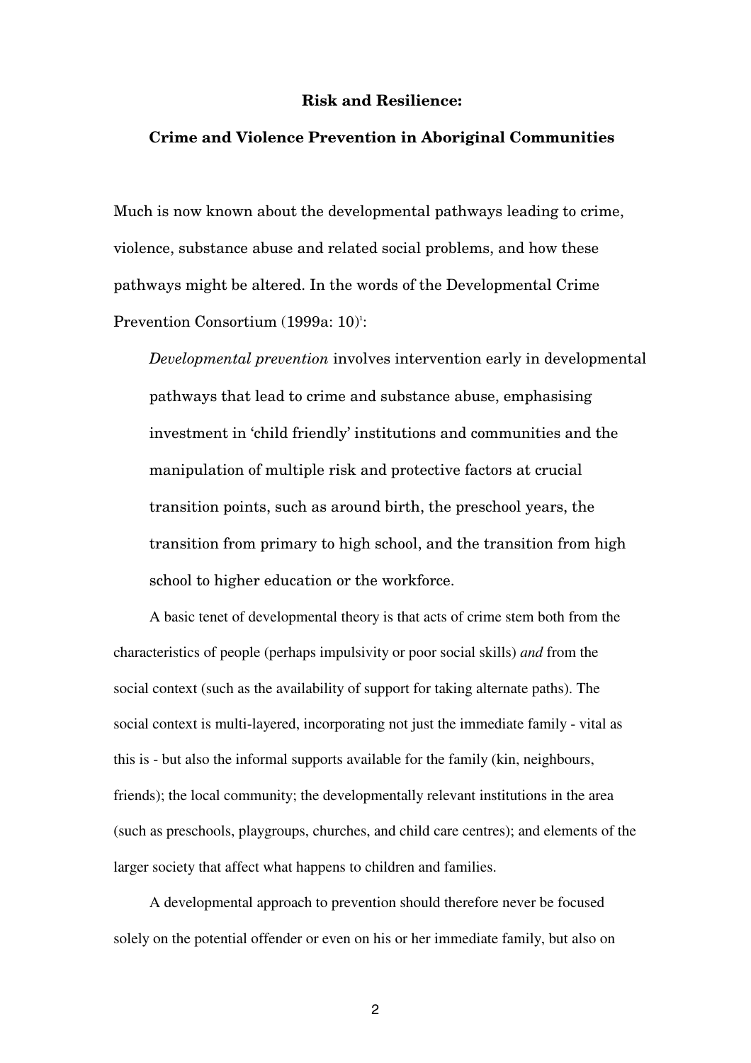## **Risk and Resilience:**

#### **Crime and Violence Prevention in Aboriginal Communities**

Much is now known about the developmental pathways leading to crime, violence, substance abuse and related social problems, and how these pathways might be altered. In the words of the Developmental Crime Prevention Consortium (1999a: 10) 1 :

*Developmental prevention* involves intervention early in developmental pathways that lead to crime and substance abuse, emphasising investment in 'child friendly' institutions and communities and the manipulation of multiple risk and protective factors at crucial transition points, such as around birth, the preschool years, the transition from primary to high school, and the transition from high school to higher education or the workforce.

A basic tenet of developmental theory is that acts of crime stem both from the characteristics of people (perhaps impulsivity or poor social skills) *and* from the social context (such as the availability of support for taking alternate paths). The social context is multi-layered, incorporating not just the immediate family - vital as this is - but also the informal supports available for the family (kin, neighbours, friends); the local community; the developmentally relevant institutions in the area (such as preschools, playgroups, churches, and child care centres); and elements of the larger society that affect what happens to children and families.

A developmental approach to prevention should therefore never be focused solely on the potential offender or even on his or her immediate family, but also on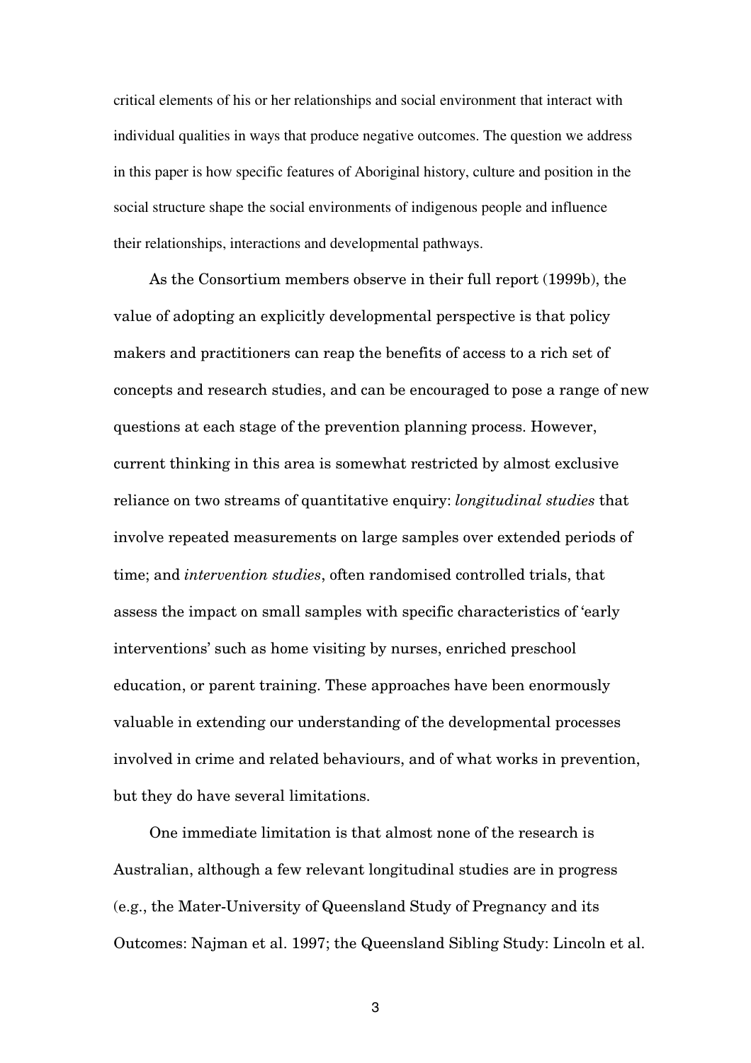critical elements of his or her relationships and social environment that interact with individual qualities in ways that produce negative outcomes. The question we address in this paper is how specific features of Aboriginal history, culture and position in the social structure shape the social environments of indigenous people and influence their relationships, interactions and developmental pathways.

As the Consortium members observe in their full report (1999b), the value of adopting an explicitly developmental perspective is that policy makers and practitioners can reap the benefits of access to a rich set of concepts and research studies, and can be encouraged to pose a range of new questions at each stage of the prevention planning process. However, current thinking in this area is somewhat restricted by almost exclusive reliance on two streams of quantitative enquiry: *longitudinal studies* that involve repeated measurements on large samples over extended periods of time; and *intervention studies*, often randomised controlled trials, that assess the impact on small samples with specific characteristics of 'early interventions' such as home visiting by nurses, enriched preschool education, or parent training. These approaches have been enormously valuable in extending our understanding of the developmental processes involved in crime and related behaviours, and of what works in prevention, but they do have several limitations.

One immediate limitation is that almost none of the research is Australian, although a few relevant longitudinal studies are in progress (e.g., the Mater-University of Queensland Study of Pregnancy and its Outcomes: Najman et al. 1997; the Queensland Sibling Study: Lincoln et al.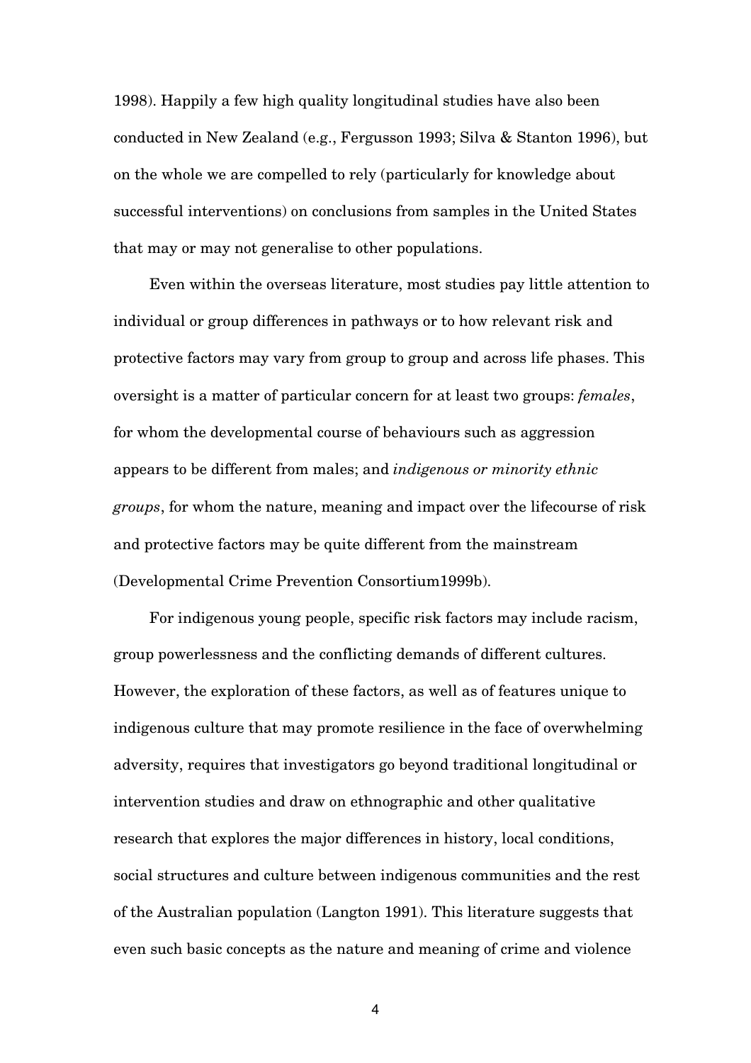1998). Happily a few high quality longitudinal studies have also been conducted in New Zealand (e.g., Fergusson 1993; Silva & Stanton 1996), but on the whole we are compelled to rely (particularly for knowledge about successful interventions) on conclusions from samples in the United States that may or may not generalise to other populations.

Even within the overseas literature, most studies pay little attention to individual or group differences in pathways or to how relevant risk and protective factors may vary from group to group and across life phases. This oversight is a matter of particular concern for at least two groups: *females*, for whom the developmental course of behaviours such as aggression appears to be different from males; and *indigenous or minority ethnic groups*, for whom the nature, meaning and impact over the lifecourse of risk and protective factors may be quite different from the mainstream (Developmental Crime Prevention Consortium1999b).

For indigenous young people, specific risk factors may include racism, group powerlessness and the conflicting demands of different cultures. However, the exploration of these factors, as well as of features unique to indigenous culture that may promote resilience in the face of overwhelming adversity, requires that investigators go beyond traditional longitudinal or intervention studies and draw on ethnographic and other qualitative research that explores the major differences in history, local conditions, social structures and culture between indigenous communities and the rest of the Australian population (Langton 1991). This literature suggests that even such basic concepts as the nature and meaning of crime and violence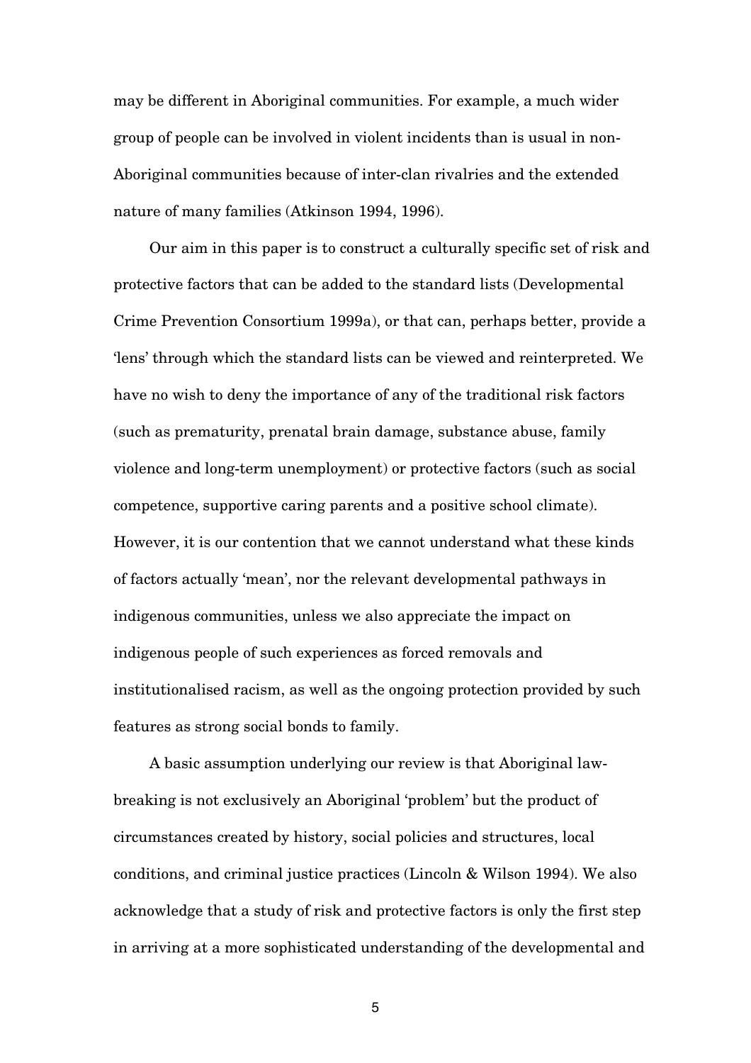may be different in Aboriginal communities. For example, a much wider group of people can be involved in violent incidents than is usual in non-Aboriginal communities because of inter-clan rivalries and the extended nature of many families (Atkinson 1994, 1996).

Our aim in this paper is to construct a culturally specific set of risk and protective factors that can be added to the standard lists (Developmental Crime Prevention Consortium 1999a), or that can, perhaps better, provide a 'lens' through which the standard lists can be viewed and reinterpreted. We have no wish to deny the importance of any of the traditional risk factors (such as prematurity, prenatal brain damage, substance abuse, family violence and long-term unemployment) or protective factors (such as social competence, supportive caring parents and a positive school climate). However, it is our contention that we cannot understand what these kinds of factors actually 'mean', nor the relevant developmental pathways in indigenous communities, unless we also appreciate the impact on indigenous people of such experiences as forced removals and institutionalised racism, as well as the ongoing protection provided by such features as strong social bonds to family.

A basic assumption underlying our review is that Aboriginal lawbreaking is not exclusively an Aboriginal 'problem' but the product of circumstances created by history, social policies and structures, local conditions, and criminal justice practices (Lincoln & Wilson 1994). We also acknowledge that a study of risk and protective factors is only the first step in arriving at a more sophisticated understanding of the developmental and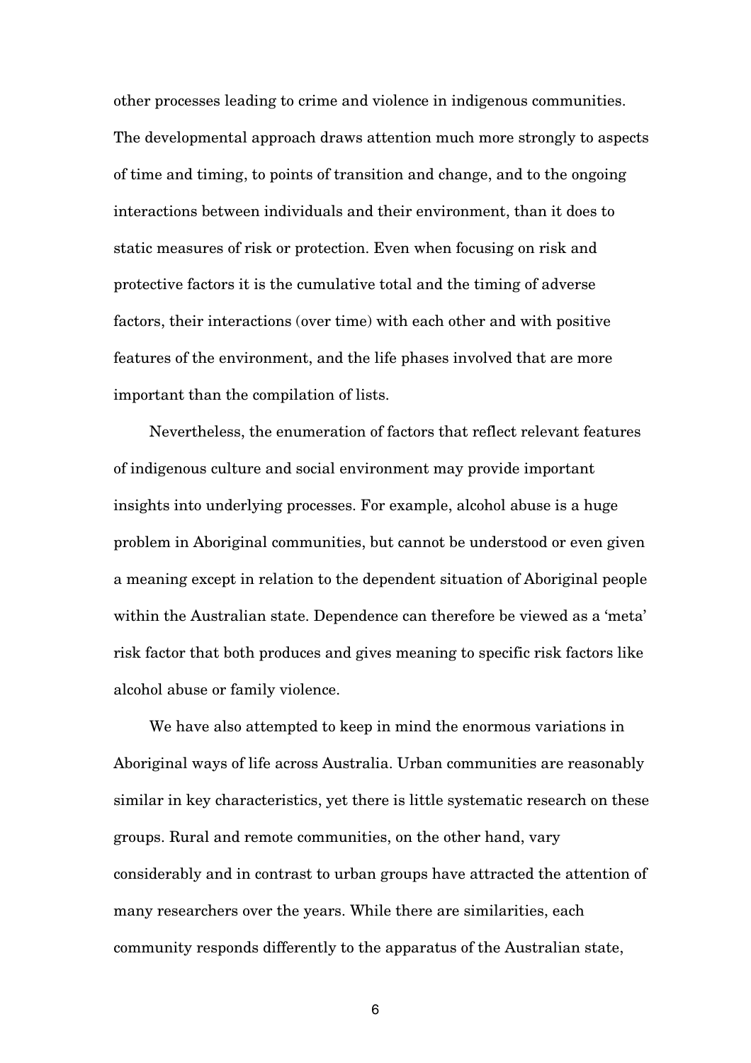other processes leading to crime and violence in indigenous communities. The developmental approach draws attention much more strongly to aspects of time and timing, to points of transition and change, and to the ongoing interactions between individuals and their environment, than it does to static measures of risk or protection. Even when focusing on risk and protective factors it is the cumulative total and the timing of adverse factors, their interactions (over time) with each other and with positive features of the environment, and the life phases involved that are more important than the compilation of lists.

Nevertheless, the enumeration of factors that reflect relevant features of indigenous culture and social environment may provide important insights into underlying processes. For example, alcohol abuse is a huge problem in Aboriginal communities, but cannot be understood or even given a meaning except in relation to the dependent situation of Aboriginal people within the Australian state. Dependence can therefore be viewed as a 'meta' risk factor that both produces and gives meaning to specific risk factors like alcohol abuse or family violence.

We have also attempted to keep in mind the enormous variations in Aboriginal ways of life across Australia. Urban communities are reasonably similar in key characteristics, yet there is little systematic research on these groups. Rural and remote communities, on the other hand, vary considerably and in contrast to urban groups have attracted the attention of many researchers over the years. While there are similarities, each community responds differently to the apparatus of the Australian state,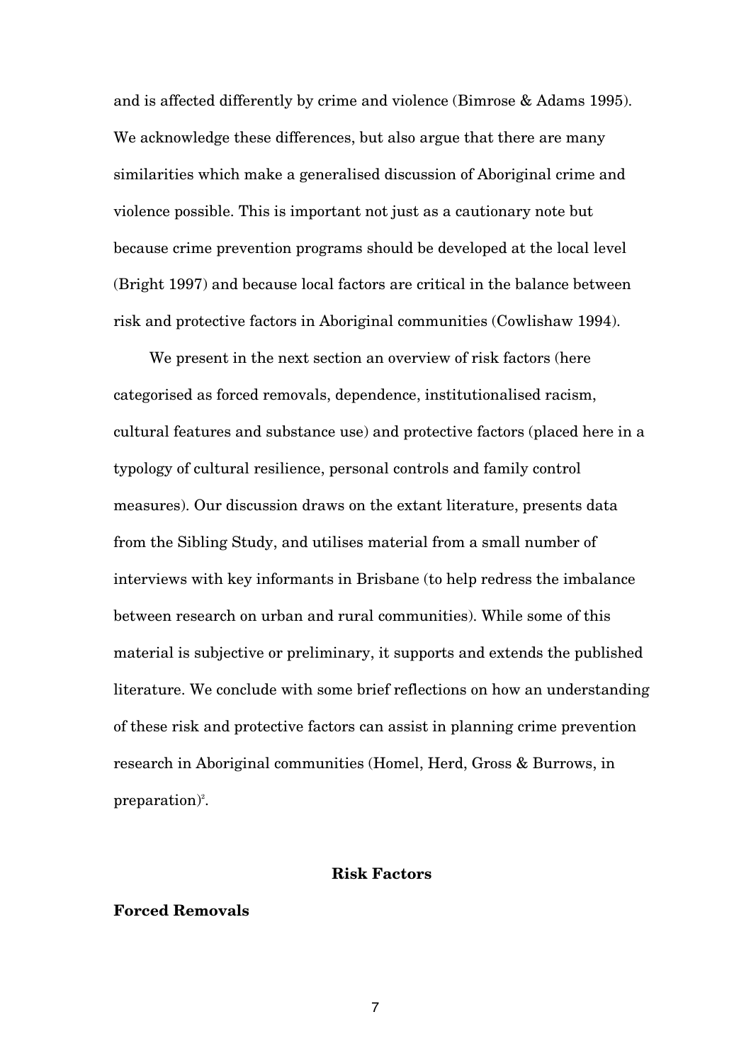and is affected differently by crime and violence (Bimrose & Adams 1995). We acknowledge these differences, but also argue that there are many similarities which make a generalised discussion of Aboriginal crime and violence possible. This is important not just as a cautionary note but because crime prevention programs should be developed at the local level (Bright 1997) and because local factors are critical in the balance between risk and protective factors in Aboriginal communities (Cowlishaw 1994).

We present in the next section an overview of risk factors (here categorised as forced removals, dependence, institutionalised racism, cultural features and substance use) and protective factors (placed here in a typology of cultural resilience, personal controls and family control measures). Our discussion draws on the extant literature, presents data from the Sibling Study, and utilises material from a small number of interviews with key informants in Brisbane (to help redress the imbalance between research on urban and rural communities). While some of this material is subjective or preliminary, it supports and extends the published literature. We conclude with some brief reflections on how an understanding of these risk and protective factors can assist in planning crime prevention research in Aboriginal communities (Homel, Herd, Gross & Burrows, in preparation) 2 .

#### **Risk Factors**

## **Forced Removals**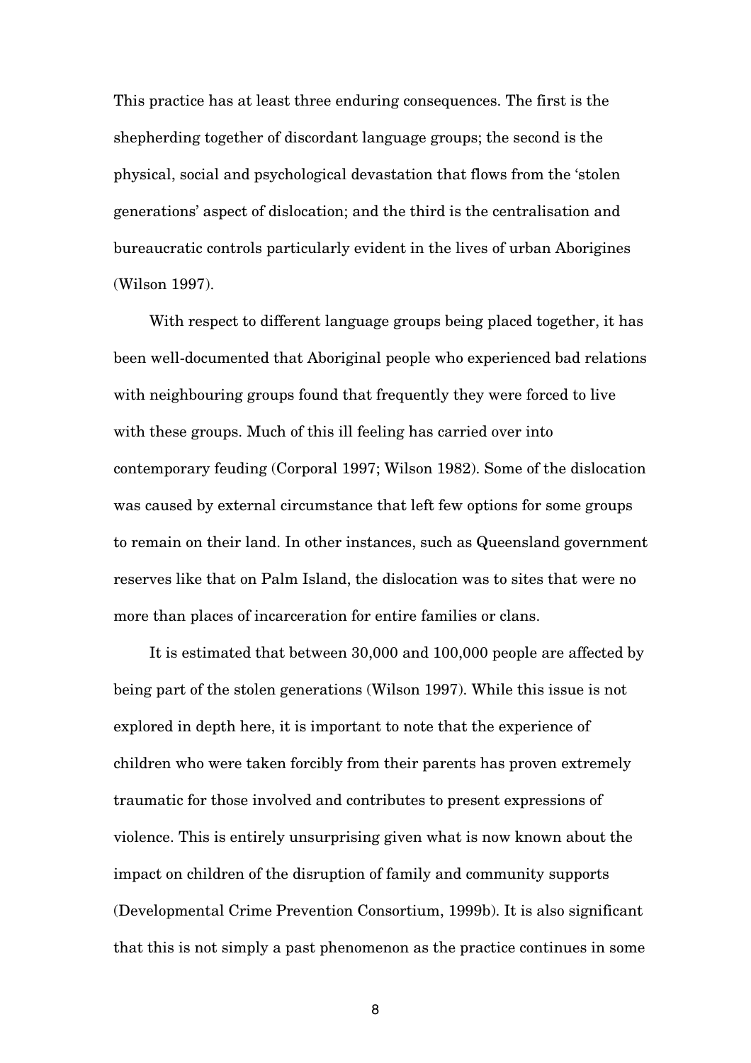This practice has at least three enduring consequences. The first is the shepherding together of discordant language groups; the second is the physical, social and psychological devastation that flows from the 'stolen generations' aspect of dislocation; and the third is the centralisation and bureaucratic controls particularly evident in the lives of urban Aborigines (Wilson 1997).

With respect to different language groups being placed together, it has been well-documented that Aboriginal people who experienced bad relations with neighbouring groups found that frequently they were forced to live with these groups. Much of this ill feeling has carried over into contemporary feuding (Corporal 1997; Wilson 1982). Some of the dislocation was caused by external circumstance that left few options for some groups to remain on their land. In other instances, such as Queensland government reserves like that on Palm Island, the dislocation was to sites that were no more than places of incarceration for entire families or clans.

It is estimated that between 30,000 and 100,000 people are affected by being part of the stolen generations (Wilson 1997). While this issue is not explored in depth here, it is important to note that the experience of children who were taken forcibly from their parents has proven extremely traumatic for those involved and contributes to present expressions of violence. This is entirely unsurprising given what is now known about the impact on children of the disruption of family and community supports (Developmental Crime Prevention Consortium, 1999b). It is also significant that this is not simply a past phenomenon as the practice continues in some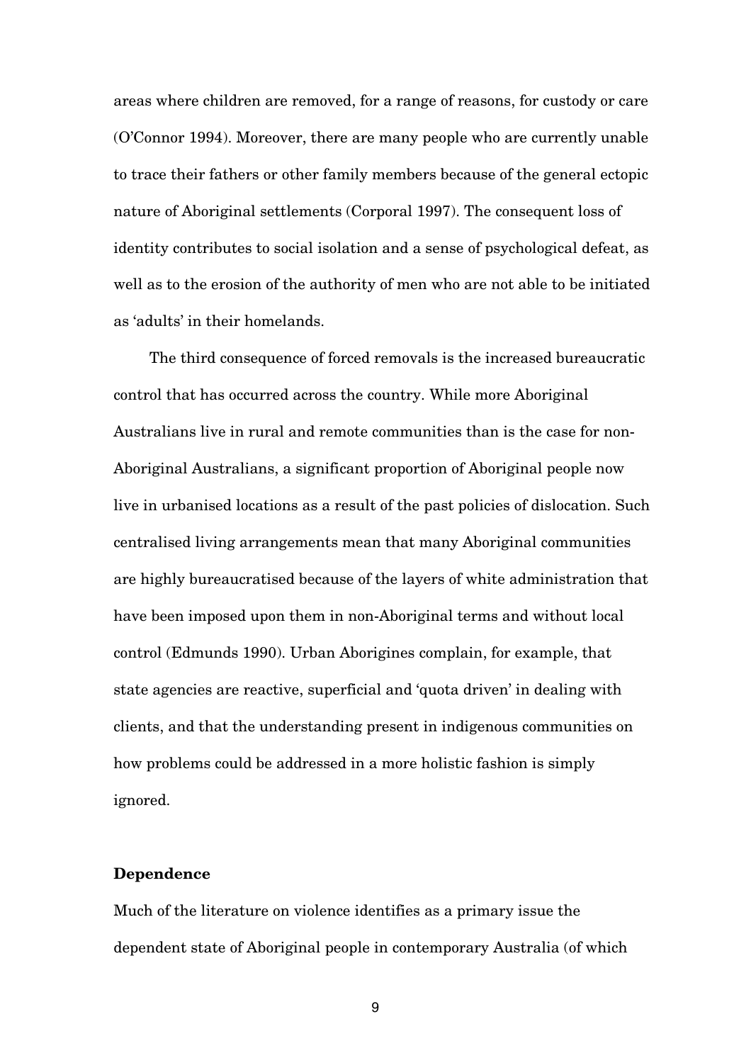areas where children are removed, for a range of reasons, for custody or care (O'Connor 1994). Moreover, there are many people who are currently unable to trace their fathers or other family members because of the general ectopic nature of Aboriginal settlements (Corporal 1997). The consequent loss of identity contributes to social isolation and a sense of psychological defeat, as well as to the erosion of the authority of men who are not able to be initiated as 'adults' in their homelands.

The third consequence of forced removals is the increased bureaucratic control that has occurred across the country. While more Aboriginal Australians live in rural and remote communities than is the case for non-Aboriginal Australians, a significant proportion of Aboriginal people now live in urbanised locations as a result of the past policies of dislocation. Such centralised living arrangements mean that many Aboriginal communities are highly bureaucratised because of the layers of white administration that have been imposed upon them in non-Aboriginal terms and without local control (Edmunds 1990). Urban Aborigines complain, for example, that state agencies are reactive, superficial and 'quota driven' in dealing with clients, and that the understanding present in indigenous communities on how problems could be addressed in a more holistic fashion is simply ignored.

#### **Dependence**

Much of the literature on violence identifies as a primary issue the dependent state of Aboriginal people in contemporary Australia (of which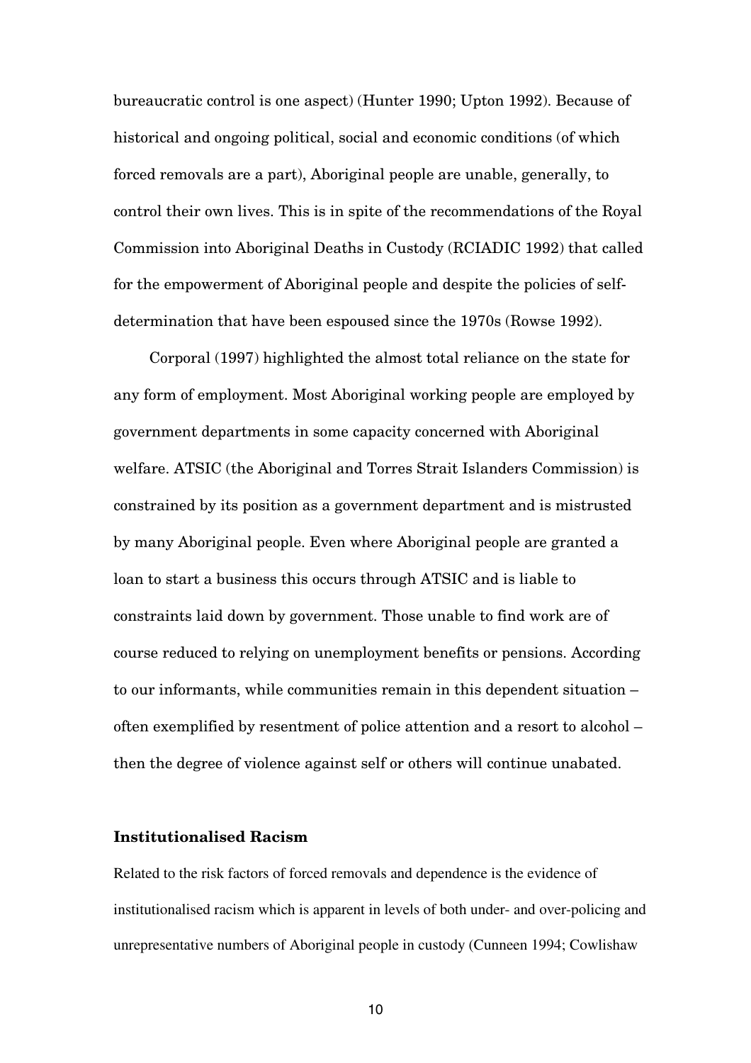bureaucratic control is one aspect) (Hunter 1990; Upton 1992). Because of historical and ongoing political, social and economic conditions (of which forced removals are a part), Aboriginal people are unable, generally, to control their own lives. This is in spite of the recommendations of the Royal Commission into Aboriginal Deaths in Custody (RCIADIC 1992) that called for the empowerment of Aboriginal people and despite the policies of selfdetermination that have been espoused since the 1970s (Rowse 1992).

Corporal (1997) highlighted the almost total reliance on the state for any form of employment. Most Aboriginal working people are employed by government departments in some capacity concerned with Aboriginal welfare. ATSIC (the Aboriginal and Torres Strait Islanders Commission) is constrained by its position as a government department and is mistrusted by many Aboriginal people. Even where Aboriginal people are granted a loan to start a business this occurs through ATSIC and is liable to constraints laid down by government. Those unable to find work are of course reduced to relying on unemployment benefits or pensions. According to our informants, while communities remain in this dependent situation – often exemplified by resentment of police attention and a resort to alcohol – then the degree of violence against self or others will continue unabated.

## **Institutionalised Racism**

Related to the risk factors of forced removals and dependence is the evidence of institutionalised racism which is apparent in levels of both under- and over-policing and unrepresentative numbers of Aboriginal people in custody (Cunneen 1994; Cowlishaw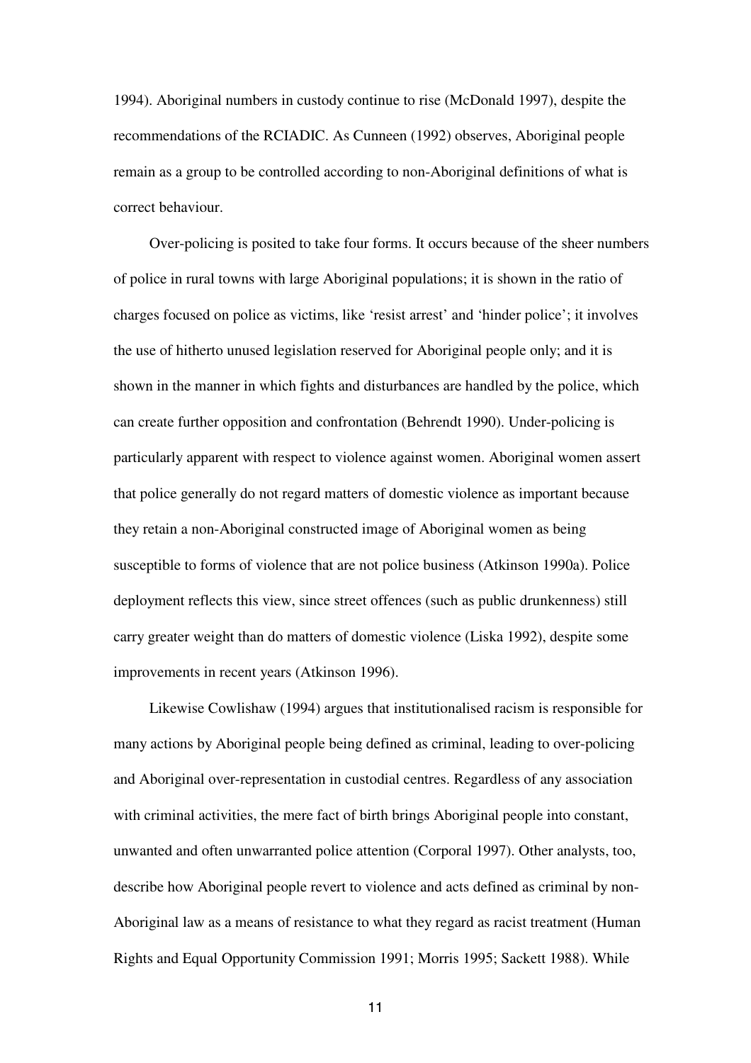1994). Aboriginal numbers in custody continue to rise (McDonald 1997), despite the recommendations of the RCIADIC. As Cunneen (1992) observes, Aboriginal people remain as a group to be controlled according to non-Aboriginal definitions of what is correct behaviour.

Over-policing is posited to take four forms. It occurs because of the sheer numbers of police in rural towns with large Aboriginal populations; it is shown in the ratio of charges focused on police as victims, like 'resist arrest' and 'hinder police'; it involves the use of hitherto unused legislation reserved for Aboriginal people only; and it is shown in the manner in which fights and disturbances are handled by the police, which can create further opposition and confrontation (Behrendt 1990). Under-policing is particularly apparent with respect to violence against women. Aboriginal women assert that police generally do not regard matters of domestic violence as important because they retain a non-Aboriginal constructed image of Aboriginal women as being susceptible to forms of violence that are not police business (Atkinson 1990a). Police deployment reflects this view, since street offences (such as public drunkenness) still carry greater weight than do matters of domestic violence (Liska 1992), despite some improvements in recent years (Atkinson 1996).

Likewise Cowlishaw (1994) argues that institutionalised racism is responsible for many actions by Aboriginal people being defined as criminal, leading to over-policing and Aboriginal over-representation in custodial centres. Regardless of any association with criminal activities, the mere fact of birth brings Aboriginal people into constant, unwanted and often unwarranted police attention (Corporal 1997). Other analysts, too, describe how Aboriginal people revert to violence and acts defined as criminal by non-Aboriginal law as a means of resistance to what they regard as racist treatment (Human Rights and Equal Opportunity Commission 1991; Morris 1995; Sackett 1988). While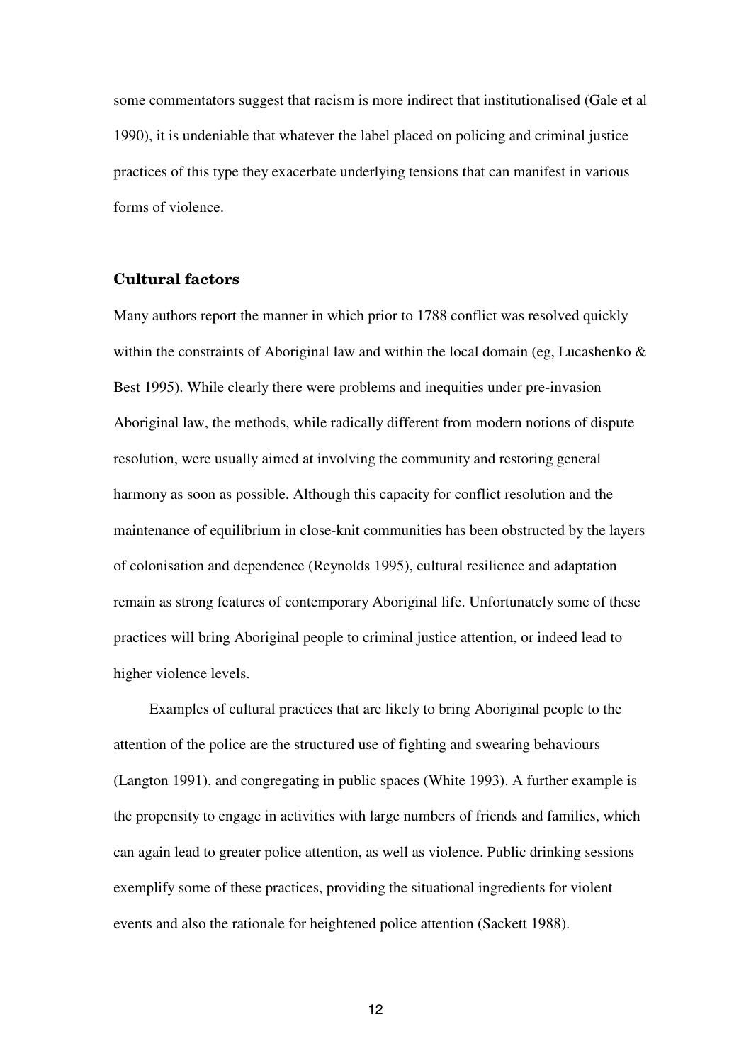some commentators suggest that racism is more indirect that institutionalised (Gale et al 1990), it is undeniable that whatever the label placed on policing and criminal justice practices of this type they exacerbate underlying tensions that can manifest in various forms of violence.

## **Cultural factors**

Many authors report the manner in which prior to 1788 conflict was resolved quickly within the constraints of Aboriginal law and within the local domain (eg, Lucashenko  $\&$ Best 1995). While clearly there were problems and inequities under pre-invasion Aboriginal law, the methods, while radically different from modern notions of dispute resolution, were usually aimed at involving the community and restoring general harmony as soon as possible. Although this capacity for conflict resolution and the maintenance of equilibrium in close-knit communities has been obstructed by the layers of colonisation and dependence (Reynolds 1995), cultural resilience and adaptation remain as strong features of contemporary Aboriginal life. Unfortunately some of these practices will bring Aboriginal people to criminal justice attention, or indeed lead to higher violence levels.

Examples of cultural practices that are likely to bring Aboriginal people to the attention of the police are the structured use of fighting and swearing behaviours (Langton 1991), and congregating in public spaces (White 1993). A further example is the propensity to engage in activities with large numbers of friends and families, which can again lead to greater police attention, as well as violence. Public drinking sessions exemplify some of these practices, providing the situational ingredients for violent events and also the rationale for heightened police attention (Sackett 1988).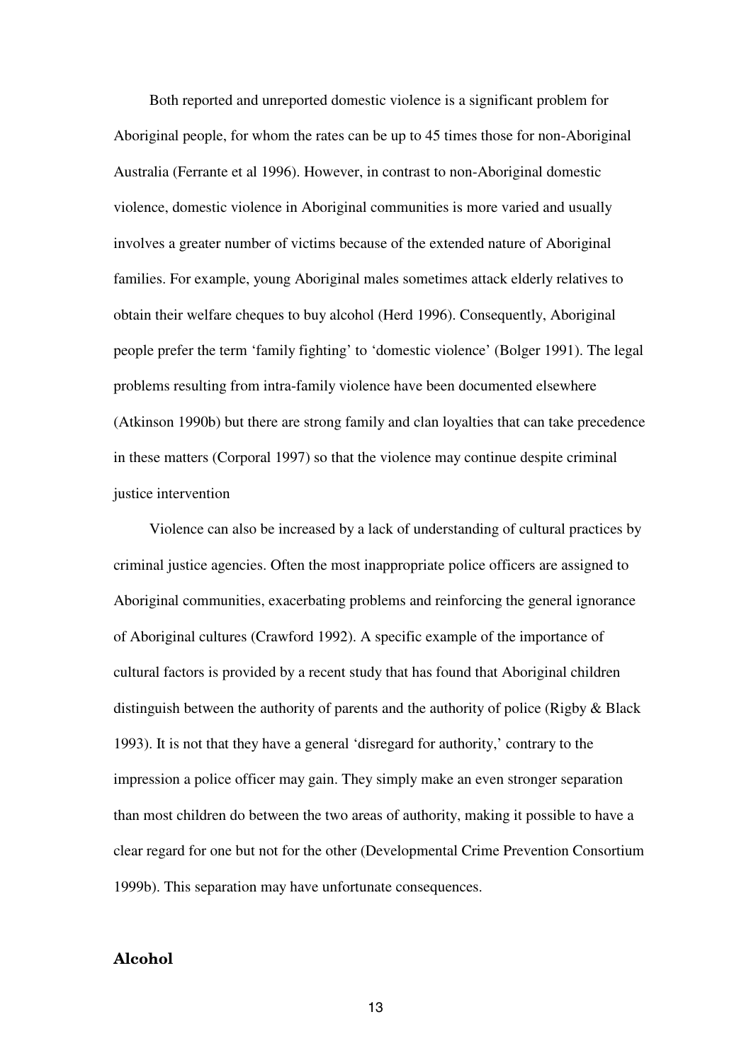Both reported and unreported domestic violence is a significant problem for Aboriginal people, for whom the rates can be up to 45 times those for non-Aboriginal Australia (Ferrante et al 1996). However, in contrast to non-Aboriginal domestic violence, domestic violence in Aboriginal communities is more varied and usually involves a greater number of victims because of the extended nature of Aboriginal families. For example, young Aboriginal males sometimes attack elderly relatives to obtain their welfare cheques to buy alcohol (Herd 1996). Consequently, Aboriginal people prefer the term 'family fighting' to 'domestic violence' (Bolger 1991). The legal problems resulting from intra-family violence have been documented elsewhere (Atkinson 1990b) but there are strong family and clan loyalties that can take precedence in these matters (Corporal 1997) so that the violence may continue despite criminal justice intervention

Violence can also be increased by a lack of understanding of cultural practices by criminal justice agencies. Often the most inappropriate police officers are assigned to Aboriginal communities, exacerbating problems and reinforcing the general ignorance of Aboriginal cultures (Crawford 1992). A specific example of the importance of cultural factors is provided by a recent study that has found that Aboriginal children distinguish between the authority of parents and the authority of police (Rigby & Black 1993). It is not that they have a general 'disregard for authority,' contrary to the impression a police officer may gain. They simply make an even stronger separation than most children do between the two areas of authority, making it possible to have a clear regard for one but not for the other (Developmental Crime Prevention Consortium 1999b). This separation may have unfortunate consequences.

## **Alcohol**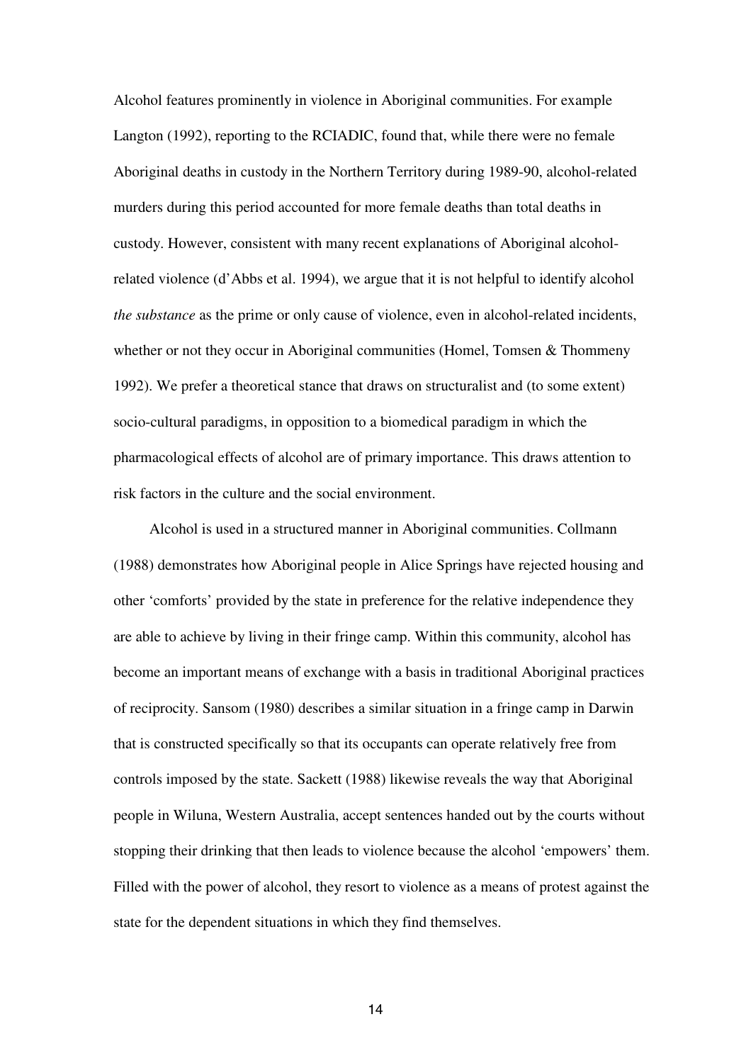Alcohol features prominently in violence in Aboriginal communities. For example Langton (1992), reporting to the RCIADIC, found that, while there were no female Aboriginal deaths in custody in the Northern Territory during 1989-90, alcohol-related murders during this period accounted for more female deaths than total deaths in custody. However, consistent with many recent explanations of Aboriginal alcoholrelated violence (d'Abbs et al. 1994), we argue that it is not helpful to identify alcohol *the substance* as the prime or only cause of violence, even in alcohol-related incidents, whether or not they occur in Aboriginal communities (Homel, Tomsen & Thommeny 1992). We prefer a theoretical stance that draws on structuralist and (to some extent) socio-cultural paradigms, in opposition to a biomedical paradigm in which the pharmacological effects of alcohol are of primary importance. This draws attention to risk factors in the culture and the social environment.

Alcohol is used in a structured manner in Aboriginal communities. Collmann (1988) demonstrates how Aboriginal people in Alice Springs have rejected housing and other 'comforts' provided by the state in preference for the relative independence they are able to achieve by living in their fringe camp. Within this community, alcohol has become an important means of exchange with a basis in traditional Aboriginal practices of reciprocity. Sansom (1980) describes a similar situation in a fringe camp in Darwin that is constructed specifically so that its occupants can operate relatively free from controls imposed by the state. Sackett (1988) likewise reveals the way that Aboriginal people in Wiluna, Western Australia, accept sentences handed out by the courts without stopping their drinking that then leads to violence because the alcohol 'empowers' them. Filled with the power of alcohol, they resort to violence as a means of protest against the state for the dependent situations in which they find themselves.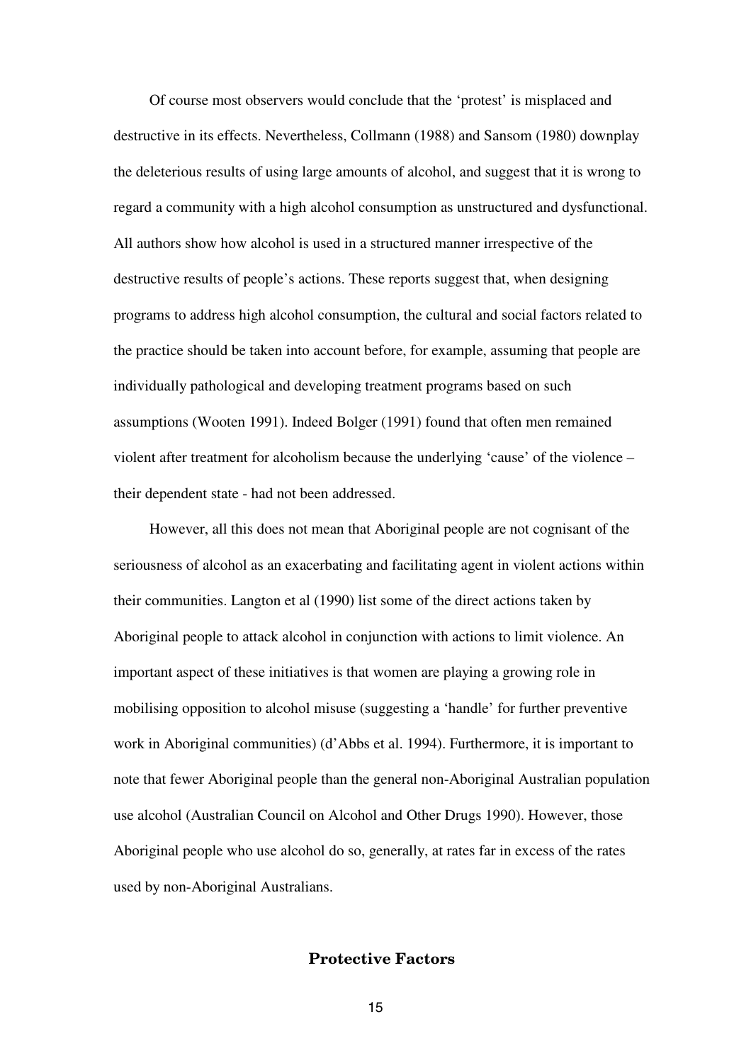Of course most observers would conclude that the 'protest' is misplaced and destructive in its effects. Nevertheless, Collmann (1988) and Sansom (1980) downplay the deleterious results of using large amounts of alcohol, and suggest that it is wrong to regard a community with a high alcohol consumption as unstructured and dysfunctional. All authors show how alcohol is used in a structured manner irrespective of the destructive results of people's actions. These reports suggest that, when designing programs to address high alcohol consumption, the cultural and social factors related to the practice should be taken into account before, for example, assuming that people are individually pathological and developing treatment programs based on such assumptions (Wooten 1991). Indeed Bolger (1991) found that often men remained violent after treatment for alcoholism because the underlying 'cause' of the violence – their dependent state - had not been addressed.

However, all this does not mean that Aboriginal people are not cognisant of the seriousness of alcohol as an exacerbating and facilitating agent in violent actions within their communities. Langton et al (1990) list some of the direct actions taken by Aboriginal people to attack alcohol in conjunction with actions to limit violence. An important aspect of these initiatives is that women are playing a growing role in mobilising opposition to alcohol misuse (suggesting a 'handle' for further preventive work in Aboriginal communities) (d'Abbs et al. 1994). Furthermore, it is important to note that fewer Aboriginal people than the general non-Aboriginal Australian population use alcohol (Australian Council on Alcohol and Other Drugs 1990). However, those Aboriginal people who use alcohol do so, generally, at rates far in excess of the rates used by non-Aboriginal Australians.

## **Protective Factors**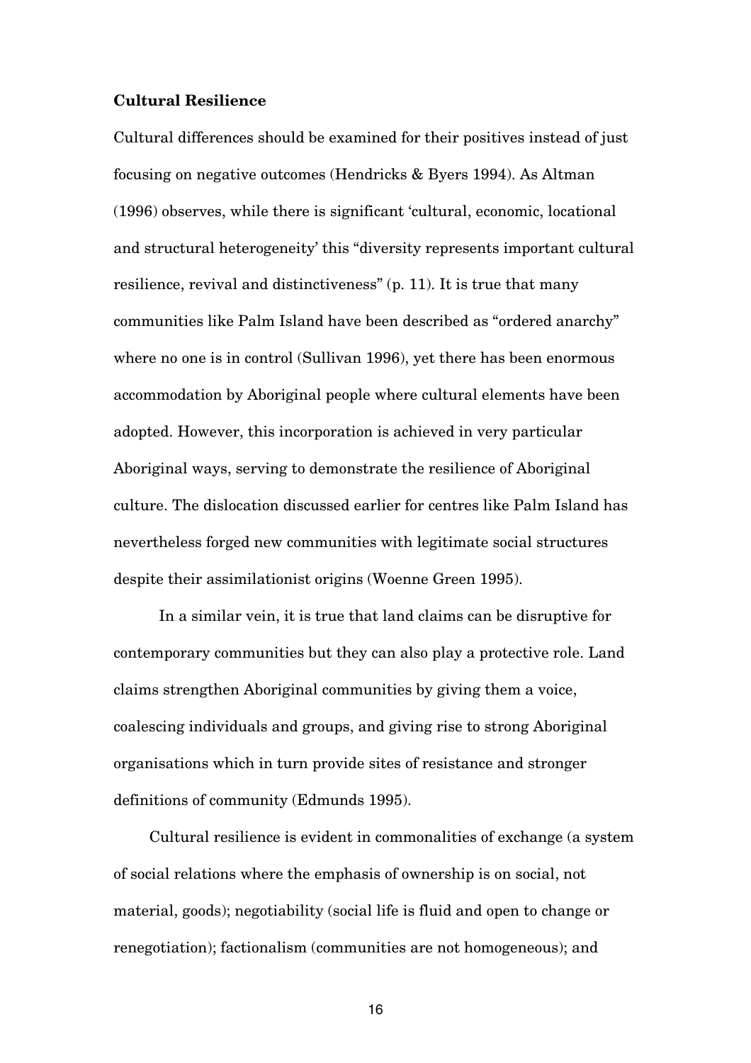## **Cultural Resilience**

Cultural differences should be examined for their positives instead of just focusing on negative outcomes (Hendricks & Byers 1994). As Altman (1996) observes, while there is significant 'cultural, economic, locational and structural heterogeneity' this "diversity represents important cultural resilience, revival and distinctiveness" (p. 11). It is true that many communities like Palm Island have been described as "ordered anarchy" where no one is in control (Sullivan 1996), yet there has been enormous accommodation by Aboriginal people where cultural elements have been adopted. However, this incorporation is achieved in very particular Aboriginal ways, serving to demonstrate the resilience of Aboriginal culture. The dislocation discussed earlier for centres like Palm Island has nevertheless forged new communities with legitimate social structures despite their assimilationist origins (Woenne Green 1995).

In a similar vein, it is true that land claims can be disruptive for contemporary communities but they can also play a protective role. Land claims strengthen Aboriginal communities by giving them a voice, coalescing individuals and groups, and giving rise to strong Aboriginal organisations which in turn provide sites of resistance and stronger definitions of community (Edmunds 1995).

Cultural resilience is evident in commonalities of exchange (a system of social relations where the emphasis of ownership is on social, not material, goods); negotiability (social life is fluid and open to change or renegotiation); factionalism (communities are not homogeneous); and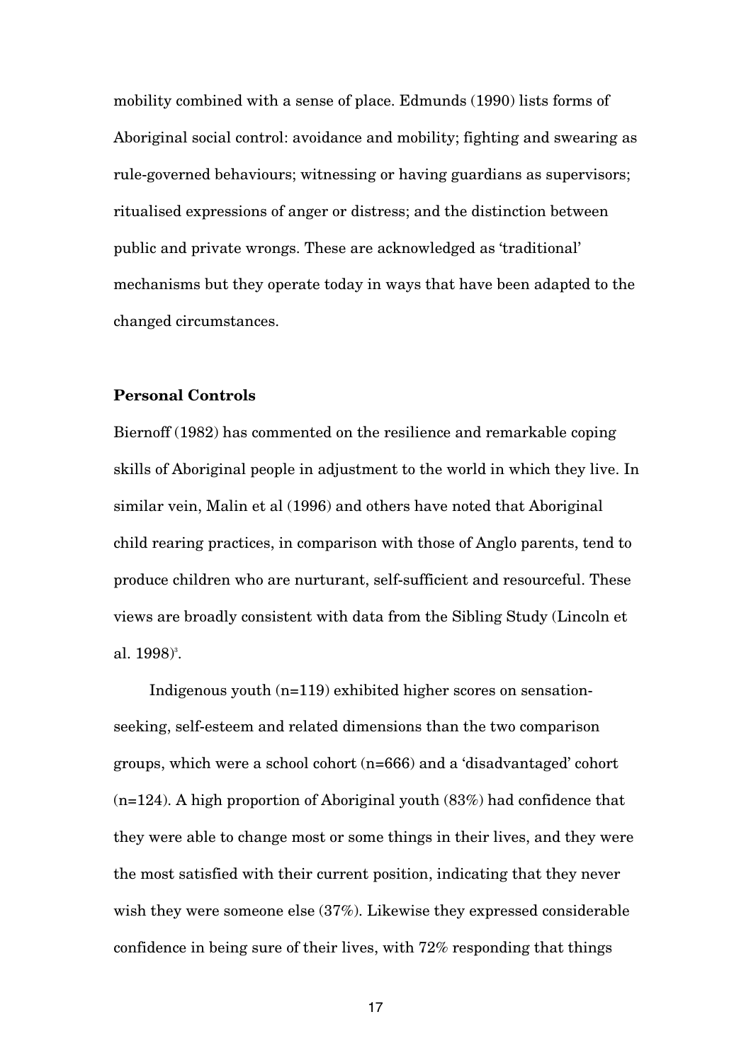mobility combined with a sense of place. Edmunds (1990) lists forms of Aboriginal social control: avoidance and mobility; fighting and swearing as rule-governed behaviours; witnessing or having guardians as supervisors; ritualised expressions of anger or distress; and the distinction between public and private wrongs. These are acknowledged as 'traditional' mechanisms but they operate today in ways that have been adapted to the changed circumstances.

## **Personal Controls**

Biernoff (1982) has commented on the resilience and remarkable coping skills of Aboriginal people in adjustment to the world in which they live. In similar vein, Malin et al (1996) and others have noted that Aboriginal child rearing practices, in comparison with those of Anglo parents, tend to produce children who are nurturant, self-sufficient and resourceful. These views are broadly consistent with data from the Sibling Study (Lincoln et al. 1998) 3 .

Indigenous youth (n=119) exhibited higher scores on sensationseeking, self-esteem and related dimensions than the two comparison groups, which were a school cohort (n=666) and a 'disadvantaged' cohort (n=124). A high proportion of Aboriginal youth (83%) had confidence that they were able to change most or some things in their lives, and they were the most satisfied with their current position, indicating that they never wish they were someone else (37%). Likewise they expressed considerable confidence in being sure of their lives, with 72% responding that things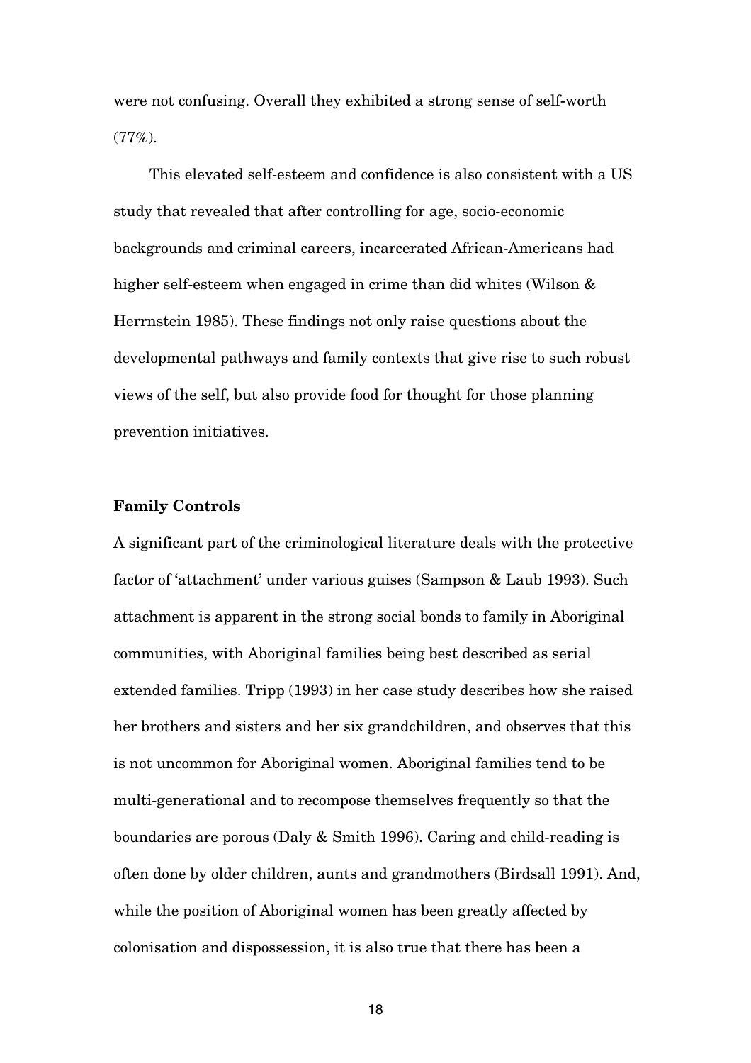were not confusing. Overall they exhibited a strong sense of self-worth  $(77\%)$ .

This elevated self-esteem and confidence is also consistent with a US study that revealed that after controlling for age, socio-economic backgrounds and criminal careers, incarcerated African-Americans had higher self-esteem when engaged in crime than did whites (Wilson & Herrnstein 1985). These findings not only raise questions about the developmental pathways and family contexts that give rise to such robust views of the self, but also provide food for thought for those planning prevention initiatives.

## **Family Controls**

A significant part of the criminological literature deals with the protective factor of 'attachment' under various guises (Sampson & Laub 1993). Such attachment is apparent in the strong social bonds to family in Aboriginal communities, with Aboriginal families being best described as serial extended families. Tripp (1993) in her case study describes how she raised her brothers and sisters and her six grandchildren, and observes that this is not uncommon for Aboriginal women. Aboriginal families tend to be multi-generational and to recompose themselves frequently so that the boundaries are porous (Daly & Smith 1996). Caring and child-reading is often done by older children, aunts and grandmothers (Birdsall 1991). And, while the position of Aboriginal women has been greatly affected by colonisation and dispossession, it is also true that there has been a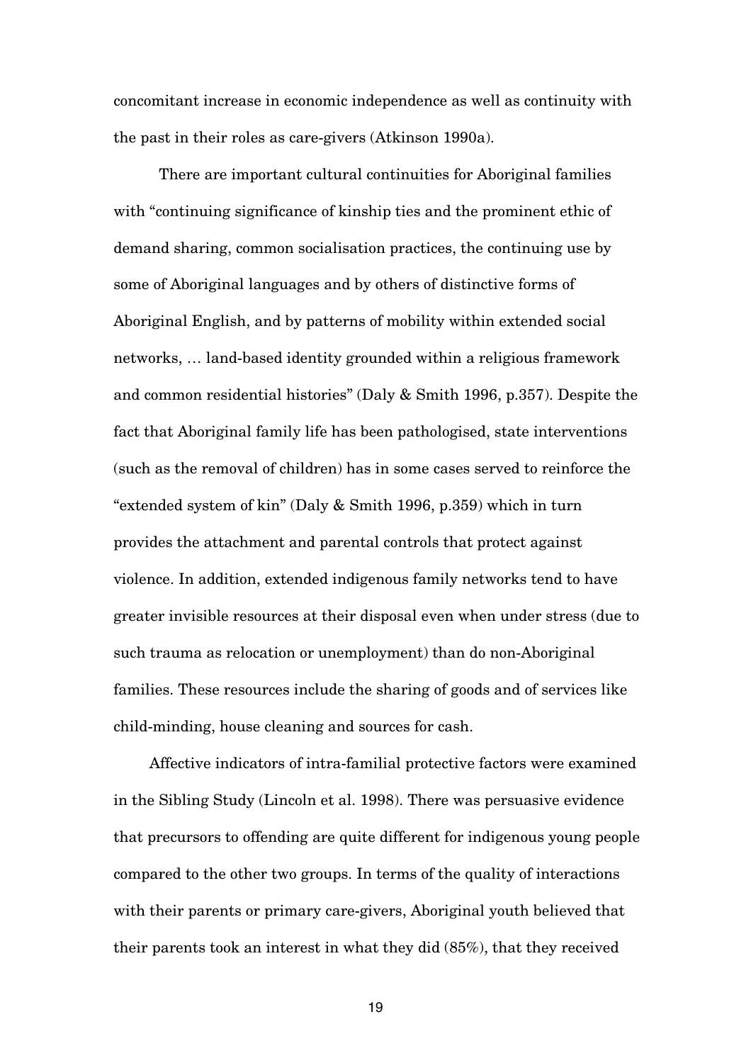concomitant increase in economic independence as well as continuity with the past in their roles as care-givers (Atkinson 1990a).

There are important cultural continuities for Aboriginal families with "continuing significance of kinship ties and the prominent ethic of demand sharing, common socialisation practices, the continuing use by some of Aboriginal languages and by others of distinctive forms of Aboriginal English, and by patterns of mobility within extended social networks, … land-based identity grounded within a religious framework and common residential histories" (Daly & Smith 1996, p.357). Despite the fact that Aboriginal family life has been pathologised, state interventions (such as the removal of children) has in some cases served to reinforce the "extended system of kin" (Daly & Smith 1996, p.359) which in turn provides the attachment and parental controls that protect against violence. In addition, extended indigenous family networks tend to have greater invisible resources at their disposal even when under stress (due to such trauma as relocation or unemployment) than do non-Aboriginal families. These resources include the sharing of goods and of services like child-minding, house cleaning and sources for cash.

Affective indicators of intra-familial protective factors were examined in the Sibling Study (Lincoln et al. 1998). There was persuasive evidence that precursors to offending are quite different for indigenous young people compared to the other two groups. In terms of the quality of interactions with their parents or primary care-givers, Aboriginal youth believed that their parents took an interest in what they did (85%), that they received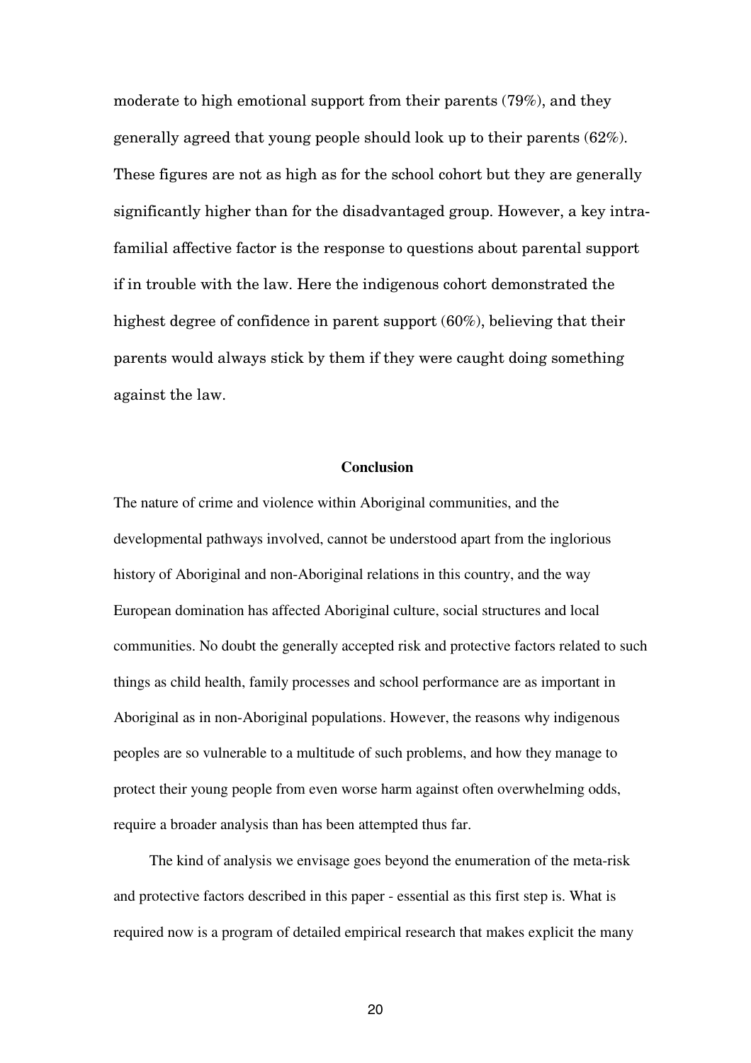moderate to high emotional support from their parents (79%), and they generally agreed that young people should look up to their parents (62%). These figures are not as high as for the school cohort but they are generally significantly higher than for the disadvantaged group. However, a key intrafamilial affective factor is the response to questions about parental support if in trouble with the law. Here the indigenous cohort demonstrated the highest degree of confidence in parent support (60%), believing that their parents would always stick by them if they were caught doing something against the law.

## **Conclusion**

The nature of crime and violence within Aboriginal communities, and the developmental pathways involved, cannot be understood apart from the inglorious history of Aboriginal and non-Aboriginal relations in this country, and the way European domination has affected Aboriginal culture, social structures and local communities. No doubt the generally accepted risk and protective factors related to such things as child health, family processes and school performance are as important in Aboriginal as in non-Aboriginal populations. However, the reasons why indigenous peoples are so vulnerable to a multitude of such problems, and how they manage to protect their young people from even worse harm against often overwhelming odds, require a broader analysis than has been attempted thus far.

The kind of analysis we envisage goes beyond the enumeration of the meta-risk and protective factors described in this paper - essential as this first step is. What is required now is a program of detailed empirical research that makes explicit the many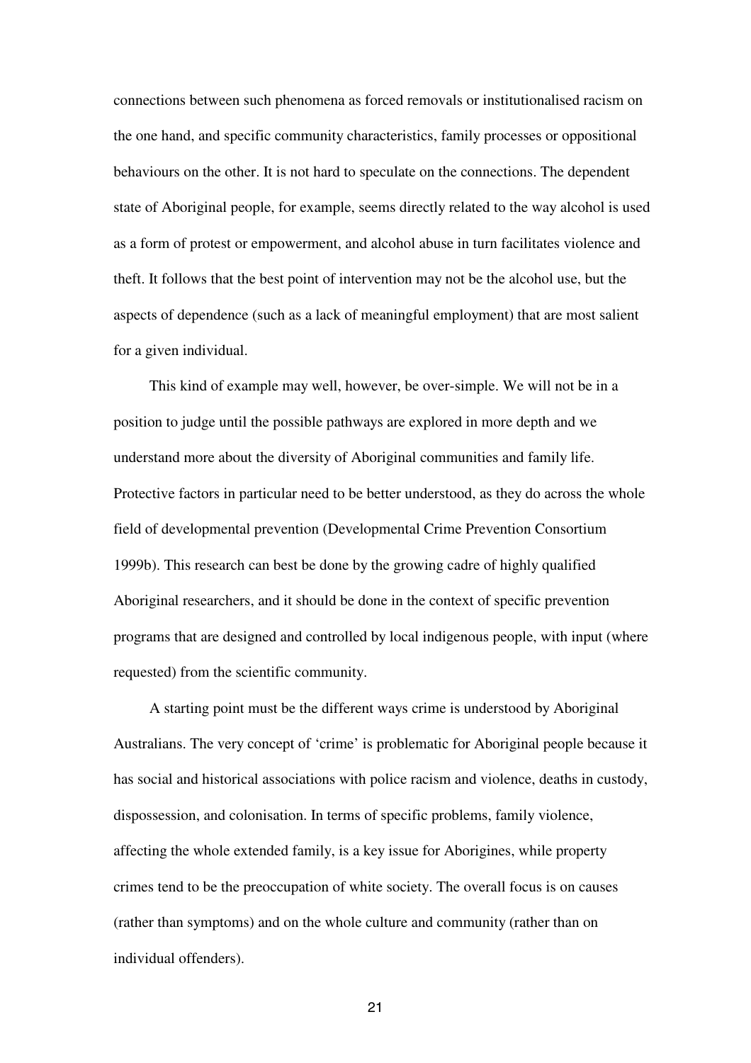connections between such phenomena as forced removals or institutionalised racism on the one hand, and specific community characteristics, family processes or oppositional behaviours on the other. It is not hard to speculate on the connections. The dependent state of Aboriginal people, for example, seems directly related to the way alcohol is used as a form of protest or empowerment, and alcohol abuse in turn facilitates violence and theft. It follows that the best point of intervention may not be the alcohol use, but the aspects of dependence (such as a lack of meaningful employment) that are most salient for a given individual.

This kind of example may well, however, be over-simple. We will not be in a position to judge until the possible pathways are explored in more depth and we understand more about the diversity of Aboriginal communities and family life. Protective factors in particular need to be better understood, as they do across the whole field of developmental prevention (Developmental Crime Prevention Consortium 1999b). This research can best be done by the growing cadre of highly qualified Aboriginal researchers, and it should be done in the context of specific prevention programs that are designed and controlled by local indigenous people, with input (where requested) from the scientific community.

A starting point must be the different ways crime is understood by Aboriginal Australians. The very concept of 'crime' is problematic for Aboriginal people because it has social and historical associations with police racism and violence, deaths in custody, dispossession, and colonisation. In terms of specific problems, family violence, affecting the whole extended family, is a key issue for Aborigines, while property crimes tend to be the preoccupation of white society. The overall focus is on causes (rather than symptoms) and on the whole culture and community (rather than on individual offenders).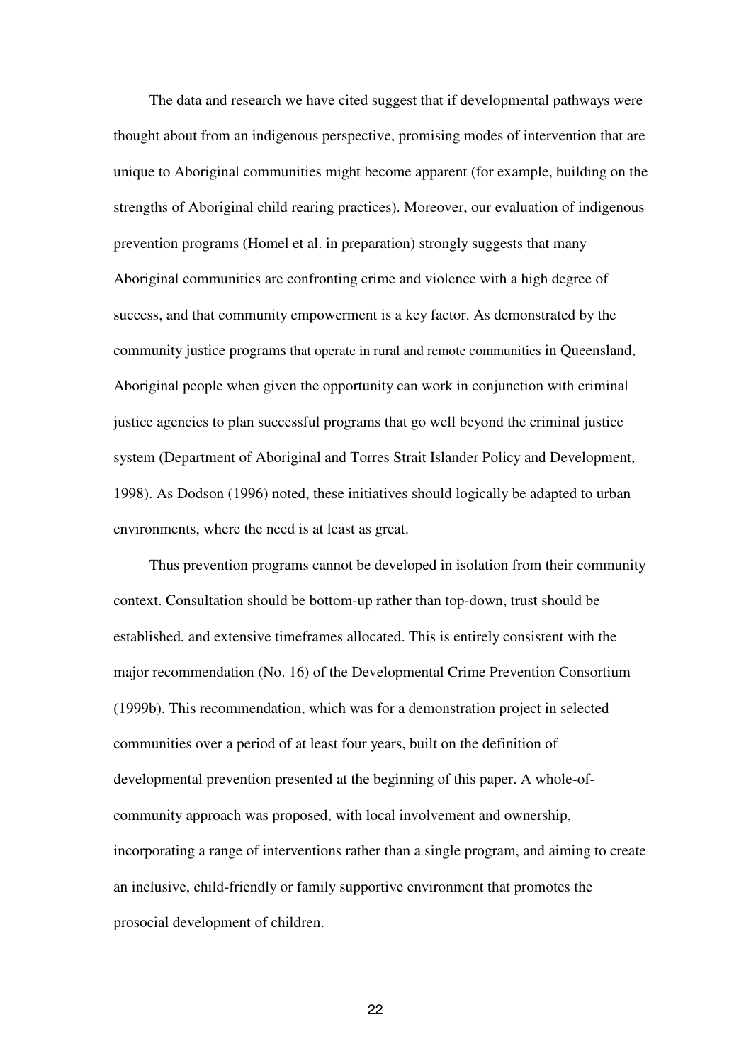The data and research we have cited suggest that if developmental pathways were thought about from an indigenous perspective, promising modes of intervention that are unique to Aboriginal communities might become apparent (for example, building on the strengths of Aboriginal child rearing practices). Moreover, our evaluation of indigenous prevention programs (Homel et al. in preparation) strongly suggests that many Aboriginal communities are confronting crime and violence with a high degree of success, and that community empowerment is a key factor. As demonstrated by the community justice programs that operate in rural and remote communities in Queensland, Aboriginal people when given the opportunity can work in conjunction with criminal justice agencies to plan successful programs that go well beyond the criminal justice system (Department of Aboriginal and Torres Strait Islander Policy and Development, 1998). As Dodson (1996) noted, these initiatives should logically be adapted to urban environments, where the need is at least as great.

Thus prevention programs cannot be developed in isolation from their community context. Consultation should be bottom-up rather than top-down, trust should be established, and extensive timeframes allocated. This is entirely consistent with the major recommendation (No. 16) of the Developmental Crime Prevention Consortium (1999b). This recommendation, which was for a demonstration project in selected communities over a period of at least four years, built on the definition of developmental prevention presented at the beginning of this paper. A whole-ofcommunity approach was proposed, with local involvement and ownership, incorporating a range of interventions rather than a single program, and aiming to create an inclusive, child-friendly or family supportive environment that promotes the prosocial development of children.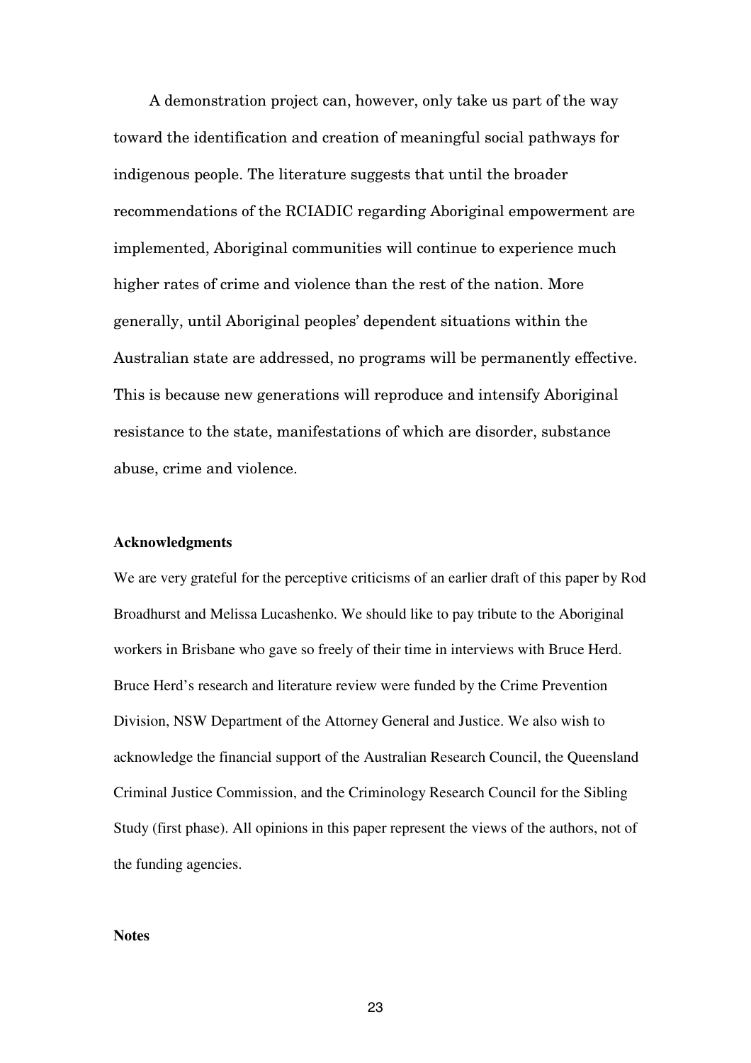A demonstration project can, however, only take us part of the way toward the identification and creation of meaningful social pathways for indigenous people. The literature suggests that until the broader recommendations of the RCIADIC regarding Aboriginal empowerment are implemented, Aboriginal communities will continue to experience much higher rates of crime and violence than the rest of the nation. More generally, until Aboriginal peoples' dependent situations within the Australian state are addressed, no programs will be permanently effective. This is because new generations will reproduce and intensify Aboriginal resistance to the state, manifestations of which are disorder, substance abuse, crime and violence.

#### **Acknowledgments**

We are very grateful for the perceptive criticisms of an earlier draft of this paper by Rod Broadhurst and Melissa Lucashenko. We should like to pay tribute to the Aboriginal workers in Brisbane who gave so freely of their time in interviews with Bruce Herd. Bruce Herd's research and literature review were funded by the Crime Prevention Division, NSW Department of the Attorney General and Justice. We also wish to acknowledge the financial support of the Australian Research Council, the Queensland Criminal Justice Commission, and the Criminology Research Council for the Sibling Study (first phase). All opinions in this paper represent the views of the authors, not of the funding agencies.

#### **Notes**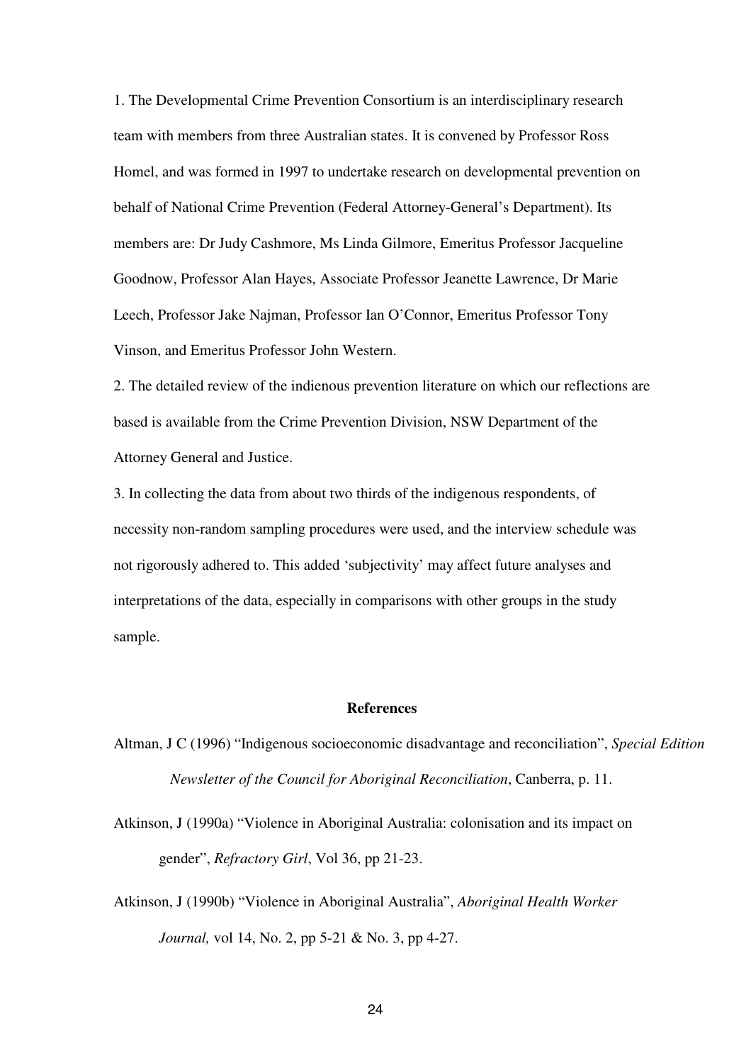1. The Developmental Crime Prevention Consortium is an interdisciplinary research team with members from three Australian states. It is convened by Professor Ross Homel, and was formed in 1997 to undertake research on developmental prevention on behalf of National Crime Prevention (Federal Attorney-General's Department). Its members are: Dr Judy Cashmore, Ms Linda Gilmore, Emeritus Professor Jacqueline Goodnow, Professor Alan Hayes, Associate Professor Jeanette Lawrence, Dr Marie Leech, Professor Jake Najman, Professor Ian O'Connor, Emeritus Professor Tony Vinson, and Emeritus Professor John Western.

2. The detailed review of the indienous prevention literature on which our reflections are based is available from the Crime Prevention Division, NSW Department of the Attorney General and Justice.

3. In collecting the data from about two thirds of the indigenous respondents, of necessity non-random sampling procedures were used, and the interview schedule was not rigorously adhered to. This added 'subjectivity' may affect future analyses and interpretations of the data, especially in comparisons with other groups in the study sample.

#### **References**

- Altman, J C (1996) "Indigenous socioeconomic disadvantage and reconciliation", *Special Edition Newsletter of the Council for Aboriginal Reconciliation*, Canberra, p. 11.
- Atkinson, J (1990a) "Violence in Aboriginal Australia: colonisation and its impact on gender", *Refractory Girl*, Vol 36, pp 21-23.
- Atkinson, J (1990b) "Violence in Aboriginal Australia", *Aboriginal Health Worker Journal,* vol 14, No. 2, pp 5-21 & No. 3, pp 4-27.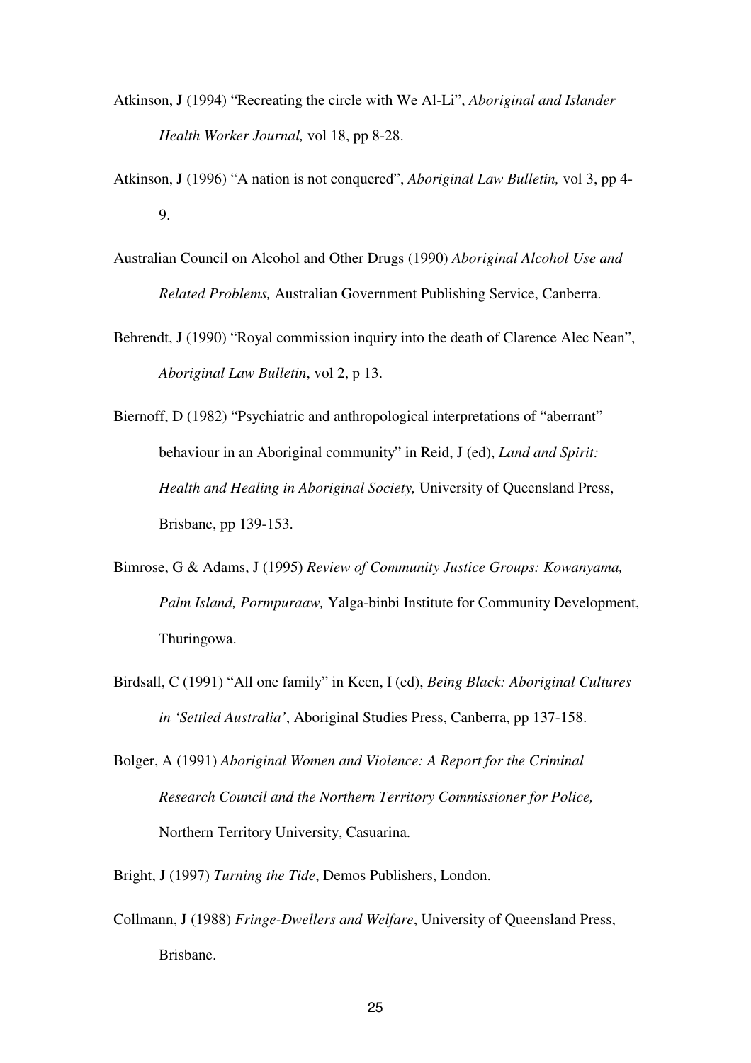- Atkinson, J (1994) "Recreating the circle with We Al-Li", *Aboriginal and Islander Health Worker Journal,* vol 18, pp 8-28.
- Atkinson, J (1996) "A nation is not conquered", *Aboriginal Law Bulletin,* vol 3, pp 4- 9.
- Australian Council on Alcohol and Other Drugs (1990) *Aboriginal Alcohol Use and Related Problems,* Australian Government Publishing Service, Canberra.
- Behrendt, J (1990) "Royal commission inquiry into the death of Clarence Alec Nean", *Aboriginal Law Bulletin*, vol 2, p 13.
- Biernoff, D (1982) "Psychiatric and anthropological interpretations of "aberrant" behaviour in an Aboriginal community" in Reid, J (ed), *Land and Spirit: Health and Healing in Aboriginal Society,* University of Queensland Press, Brisbane, pp 139-153.
- Bimrose, G & Adams, J (1995) *Review of Community Justice Groups: Kowanyama, Palm Island, Pormpuraaw,* Yalga-binbi Institute for Community Development, Thuringowa.
- Birdsall, C (1991) "All one family" in Keen, I (ed), *Being Black: Aboriginal Cultures in 'Settled Australia'*, Aboriginal Studies Press, Canberra, pp 137-158.
- Bolger, A (1991) *Aboriginal Women and Violence: A Report for the Criminal Research Council and the Northern Territory Commissioner for Police,* Northern Territory University, Casuarina.
- Bright, J (1997) *Turning the Tide*, Demos Publishers, London.
- Collmann, J (1988) *Fringe-Dwellers and Welfare*, University of Queensland Press, Brisbane.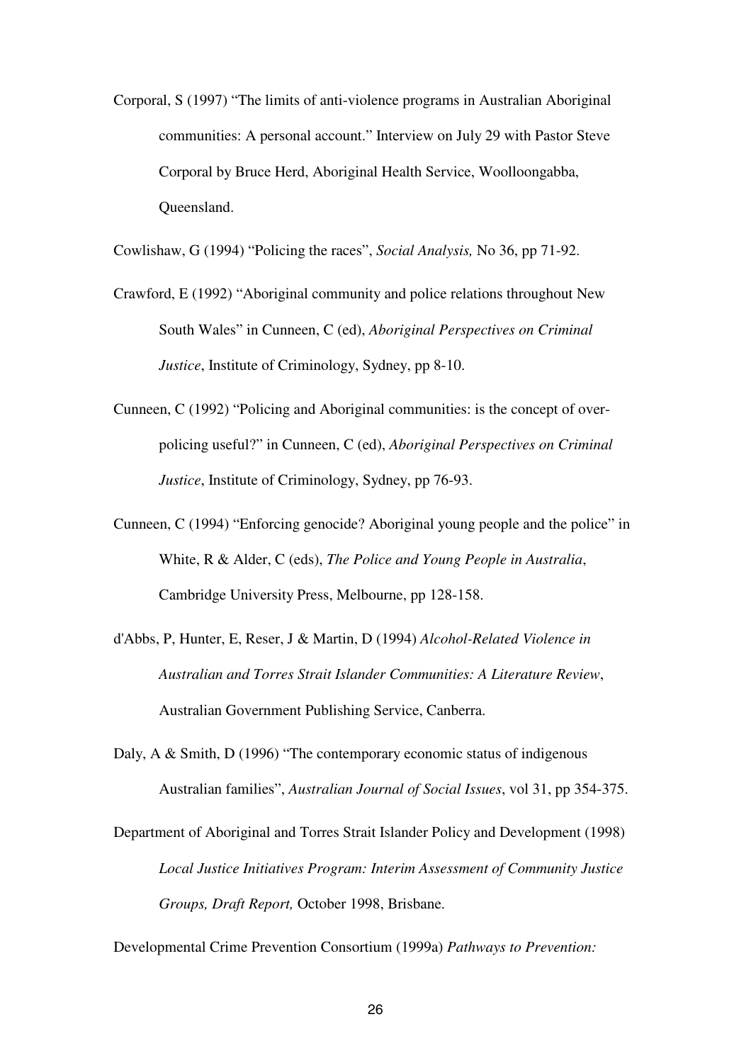Corporal, S (1997) "The limits of anti-violence programs in Australian Aboriginal communities: A personal account." Interview on July 29 with Pastor Steve Corporal by Bruce Herd, Aboriginal Health Service, Woolloongabba, Queensland.

Cowlishaw, G (1994) "Policing the races", *Social Analysis,* No 36, pp 71-92.

- Crawford, E (1992) "Aboriginal community and police relations throughout New South Wales" in Cunneen, C (ed), *Aboriginal Perspectives on Criminal Justice*, Institute of Criminology, Sydney, pp 8-10.
- Cunneen, C (1992) "Policing and Aboriginal communities: is the concept of overpolicing useful?" in Cunneen, C (ed), *Aboriginal Perspectives on Criminal Justice*, Institute of Criminology, Sydney, pp 76-93.
- Cunneen, C (1994) "Enforcing genocide? Aboriginal young people and the police" in White, R & Alder, C (eds), *The Police and Young People in Australia*, Cambridge University Press, Melbourne, pp 128-158.
- d'Abbs, P, Hunter, E, Reser, J & Martin, D (1994) *Alcohol-Related Violence in Australian and Torres Strait Islander Communities: A Literature Review*, Australian Government Publishing Service, Canberra.
- Daly, A & Smith, D (1996) "The contemporary economic status of indigenous Australian families", *Australian Journal of Social Issues*, vol 31, pp 354-375.
- Department of Aboriginal and Torres Strait Islander Policy and Development (1998) *Local Justice Initiatives Program: Interim Assessment of Community Justice Groups, Draft Report,* October 1998, Brisbane.

Developmental Crime Prevention Consortium (1999a) *Pathways to Prevention:*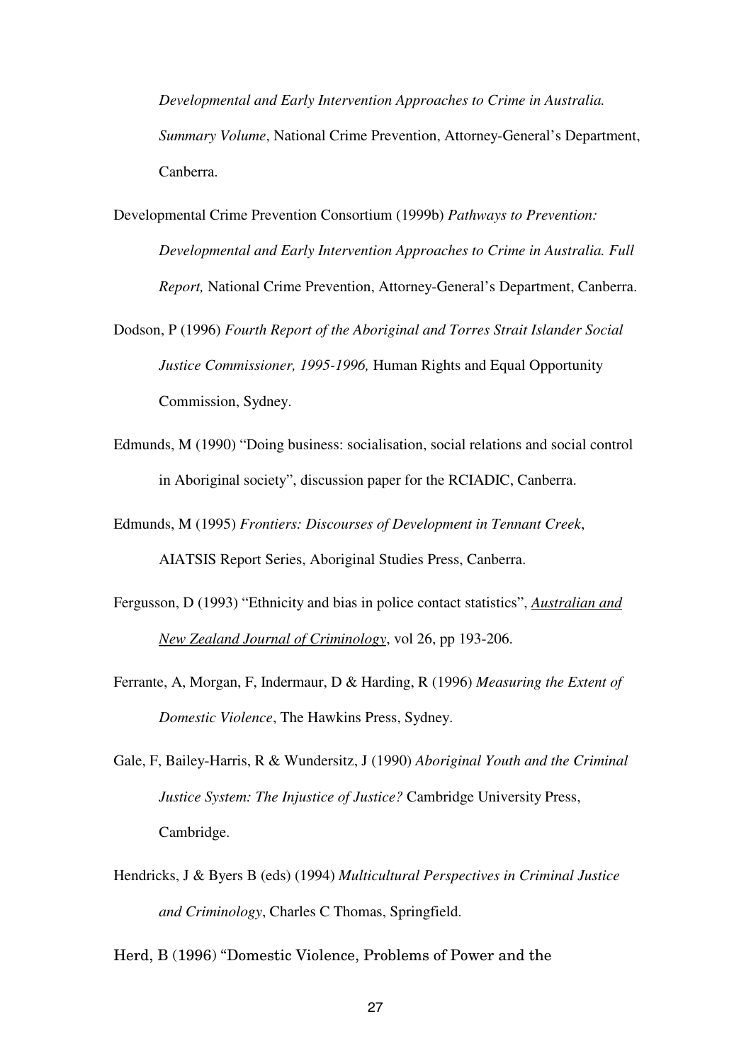*Developmental and Early Intervention Approaches to Crime in Australia. Summary Volume*, National Crime Prevention, Attorney-General's Department, Canberra.

- Developmental Crime Prevention Consortium (1999b) *Pathways to Prevention: Developmental and Early Intervention Approaches to Crime in Australia. Full Report,* National Crime Prevention, Attorney-General's Department, Canberra.
- Dodson, P (1996) *Fourth Report of the Aboriginal and Torres Strait Islander Social Justice Commissioner, 1995-1996,* Human Rights and Equal Opportunity Commission, Sydney.
- Edmunds, M (1990) "Doing business: socialisation, social relations and social control in Aboriginal society", discussion paper for the RCIADIC, Canberra.
- Edmunds, M (1995) *Frontiers: Discourses of Development in Tennant Creek*, AIATSIS Report Series, Aboriginal Studies Press, Canberra.
- Fergusson, D (1993) "Ethnicity and bias in police contact statistics", *Australian and New Zealand Journal of Criminology*, vol 26, pp 193-206.
- Ferrante, A, Morgan, F, Indermaur, D & Harding, R (1996) *Measuring the Extent of Domestic Violence*, The Hawkins Press, Sydney.
- Gale, F, Bailey-Harris, R & Wundersitz, J (1990) *Aboriginal Youth and the Criminal Justice System: The Injustice of Justice?* Cambridge University Press, Cambridge.
- Hendricks, J & Byers B (eds) (1994) *Multicultural Perspectives in Criminal Justice and Criminology*, Charles C Thomas, Springfield.

Herd, B (1996) "Domestic Violence, Problems of Power and the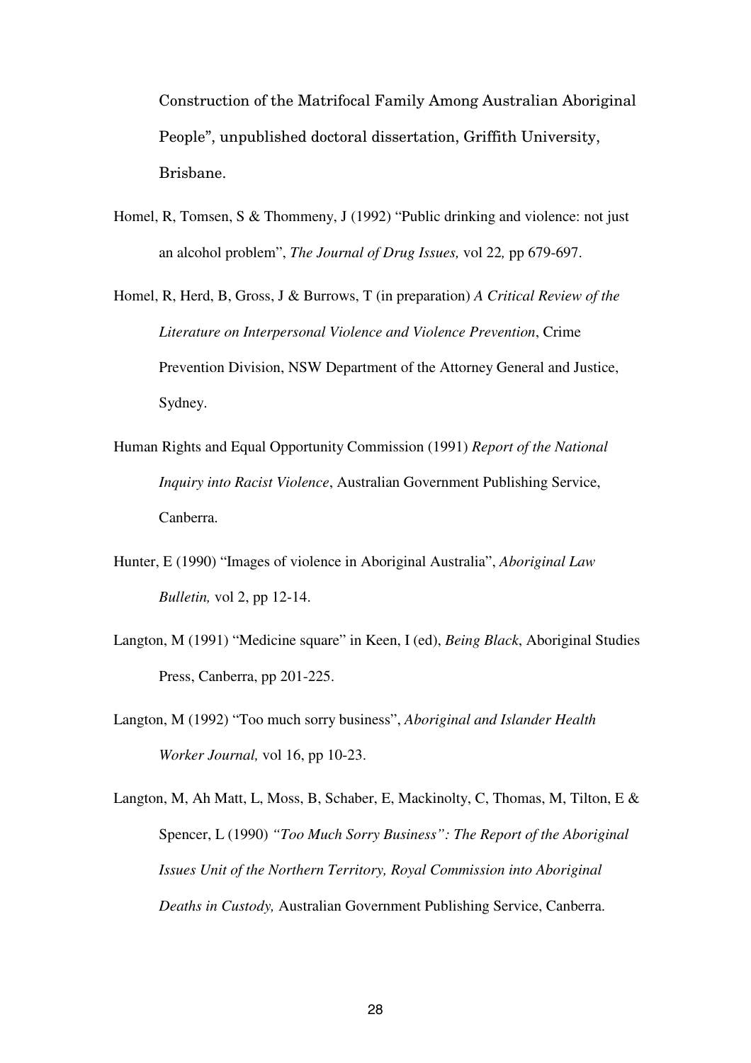Construction of the Matrifocal Family Among Australian Aboriginal People", unpublished doctoral dissertation, Griffith University, Brisbane.

- Homel, R, Tomsen, S & Thommeny, J (1992) "Public drinking and violence: not just an alcohol problem", *The Journal of Drug Issues,* vol 22*,* pp 679-697.
- Homel, R, Herd, B, Gross, J & Burrows, T (in preparation) *A Critical Review of the Literature on Interpersonal Violence and Violence Prevention*, Crime Prevention Division, NSW Department of the Attorney General and Justice, Sydney.
- Human Rights and Equal Opportunity Commission (1991) *Report of the National Inquiry into Racist Violence*, Australian Government Publishing Service, Canberra.
- Hunter, E (1990) "Images of violence in Aboriginal Australia", *Aboriginal Law Bulletin,* vol 2, pp 12-14.
- Langton, M (1991) "Medicine square" in Keen, I (ed), *Being Black*, Aboriginal Studies Press, Canberra, pp 201-225.
- Langton, M (1992) "Too much sorry business", *Aboriginal and Islander Health Worker Journal,* vol 16, pp 10-23.
- Langton, M, Ah Matt, L, Moss, B, Schaber, E, Mackinolty, C, Thomas, M, Tilton, E & Spencer, L (1990) *"Too Much Sorry Business": The Report of the Aboriginal Issues Unit of the Northern Territory, Royal Commission into Aboriginal Deaths in Custody,* Australian Government Publishing Service, Canberra.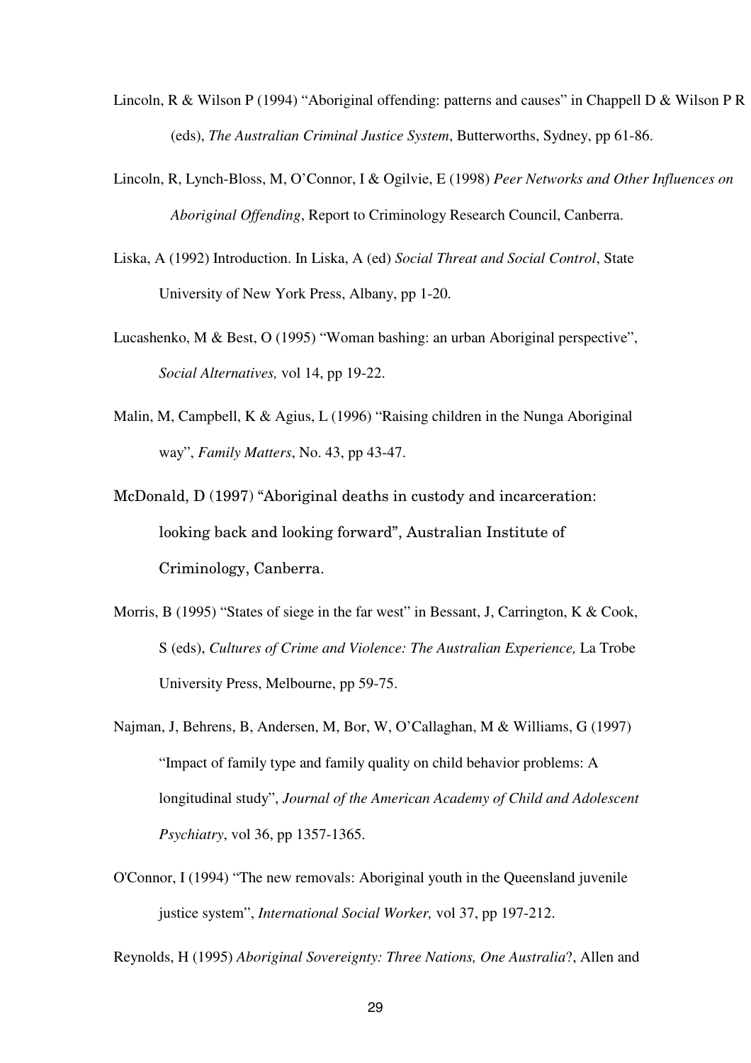- Lincoln, R & Wilson P (1994) "Aboriginal offending: patterns and causes" in Chappell D & Wilson P R (eds), *The Australian Criminal Justice System*, Butterworths, Sydney, pp 61-86.
- Lincoln, R, Lynch-Bloss, M, O'Connor, I & Ogilvie, E (1998) *Peer Networks and Other Influences on Aboriginal Offending*, Report to Criminology Research Council, Canberra.
- Liska, A (1992) Introduction. In Liska, A (ed) *Social Threat and Social Control*, State University of New York Press, Albany, pp 1-20.
- Lucashenko, M & Best, O (1995) "Woman bashing: an urban Aboriginal perspective", *Social Alternatives,* vol 14, pp 19-22.
- Malin, M, Campbell, K & Agius, L (1996) "Raising children in the Nunga Aboriginal way", *Family Matters*, No. 43, pp 43-47.
- McDonald, D (1997) "Aboriginal deaths in custody and incarceration: looking back and looking forward", Australian Institute of Criminology, Canberra.
- Morris, B (1995) "States of siege in the far west" in Bessant, J, Carrington, K & Cook, S (eds), *Cultures of Crime and Violence: The Australian Experience,* La Trobe University Press, Melbourne, pp 59-75.
- Najman, J, Behrens, B, Andersen, M, Bor, W, O'Callaghan, M & Williams, G (1997) "Impact of family type and family quality on child behavior problems: A longitudinal study", *Journal of the American Academy of Child and Adolescent Psychiatry*, vol 36, pp 1357-1365.
- O'Connor, I (1994) "The new removals: Aboriginal youth in the Queensland juvenile justice system", *International Social Worker,* vol 37, pp 197-212.

Reynolds, H (1995) *Aboriginal Sovereignty: Three Nations, One Australia*?, Allen and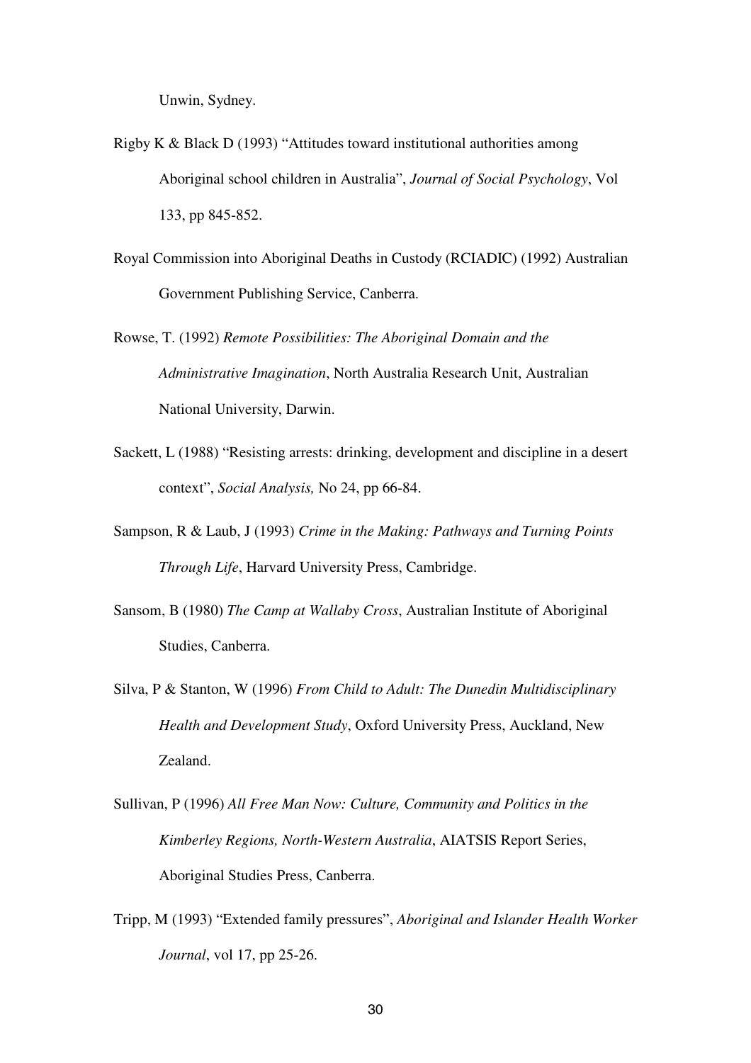Unwin, Sydney.

- Rigby K & Black D (1993) "Attitudes toward institutional authorities among Aboriginal school children in Australia", *Journal of Social Psychology*, Vol 133, pp 845-852.
- Royal Commission into Aboriginal Deaths in Custody (RCIADIC) (1992) Australian Government Publishing Service, Canberra.
- Rowse, T. (1992) *Remote Possibilities: The Aboriginal Domain and the Administrative Imagination*, North Australia Research Unit, Australian National University, Darwin.
- Sackett, L (1988) "Resisting arrests: drinking, development and discipline in a desert context", *Social Analysis,* No 24, pp 66-84.
- Sampson, R & Laub, J (1993) *Crime in the Making: Pathways and Turning Points Through Life*, Harvard University Press, Cambridge.
- Sansom, B (1980) *The Camp at Wallaby Cross*, Australian Institute of Aboriginal Studies, Canberra.
- Silva, P & Stanton, W (1996) *From Child to Adult: The Dunedin Multidisciplinary Health and Development Study*, Oxford University Press, Auckland, New Zealand.
- Sullivan, P (1996) *All Free Man Now: Culture, Community and Politics in the Kimberley Regions, North-Western Australia*, AIATSIS Report Series, Aboriginal Studies Press, Canberra.
- Tripp, M (1993) "Extended family pressures", *Aboriginal and Islander Health Worker Journal*, vol 17, pp 25-26.